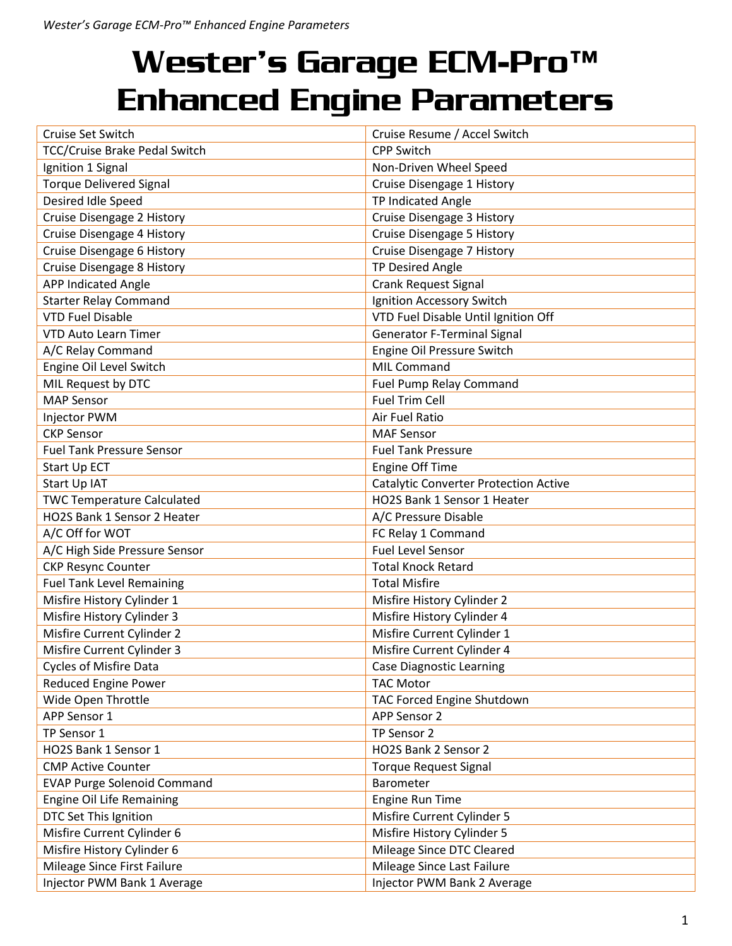| Cruise Set Switch                  | Cruise Resume / Accel Switch                 |
|------------------------------------|----------------------------------------------|
| TCC/Cruise Brake Pedal Switch      | <b>CPP Switch</b>                            |
| Ignition 1 Signal                  | Non-Driven Wheel Speed                       |
| <b>Torque Delivered Signal</b>     | Cruise Disengage 1 History                   |
| Desired Idle Speed                 | TP Indicated Angle                           |
| Cruise Disengage 2 History         | Cruise Disengage 3 History                   |
| Cruise Disengage 4 History         | Cruise Disengage 5 History                   |
| Cruise Disengage 6 History         | Cruise Disengage 7 History                   |
| Cruise Disengage 8 History         | <b>TP Desired Angle</b>                      |
| <b>APP Indicated Angle</b>         | <b>Crank Request Signal</b>                  |
| <b>Starter Relay Command</b>       | Ignition Accessory Switch                    |
| <b>VTD Fuel Disable</b>            | VTD Fuel Disable Until Ignition Off          |
| <b>VTD Auto Learn Timer</b>        | <b>Generator F-Terminal Signal</b>           |
| A/C Relay Command                  | Engine Oil Pressure Switch                   |
| Engine Oil Level Switch            | <b>MIL Command</b>                           |
| MIL Request by DTC                 | Fuel Pump Relay Command                      |
| <b>MAP Sensor</b>                  | <b>Fuel Trim Cell</b>                        |
| Injector PWM                       | Air Fuel Ratio                               |
| <b>CKP Sensor</b>                  | <b>MAF Sensor</b>                            |
| <b>Fuel Tank Pressure Sensor</b>   | <b>Fuel Tank Pressure</b>                    |
| Start Up ECT                       | <b>Engine Off Time</b>                       |
| Start Up IAT                       | <b>Catalytic Converter Protection Active</b> |
| <b>TWC Temperature Calculated</b>  | HO2S Bank 1 Sensor 1 Heater                  |
| HO2S Bank 1 Sensor 2 Heater        | A/C Pressure Disable                         |
| A/C Off for WOT                    | FC Relay 1 Command                           |
| A/C High Side Pressure Sensor      | <b>Fuel Level Sensor</b>                     |
| <b>CKP Resync Counter</b>          | <b>Total Knock Retard</b>                    |
| <b>Fuel Tank Level Remaining</b>   | <b>Total Misfire</b>                         |
| Misfire History Cylinder 1         | Misfire History Cylinder 2                   |
| Misfire History Cylinder 3         | Misfire History Cylinder 4                   |
| Misfire Current Cylinder 2         | Misfire Current Cylinder 1                   |
| Misfire Current Cylinder 3         | Misfire Current Cylinder 4                   |
| Cycles of Misfire Data             | <b>Case Diagnostic Learning</b>              |
| <b>Reduced Engine Power</b>        | <b>TAC Motor</b>                             |
| Wide Open Throttle                 | TAC Forced Engine Shutdown                   |
| APP Sensor 1                       | APP Sensor 2                                 |
| TP Sensor 1                        | TP Sensor 2                                  |
| HO2S Bank 1 Sensor 1               | HO2S Bank 2 Sensor 2                         |
| <b>CMP Active Counter</b>          | <b>Torque Request Signal</b>                 |
| <b>EVAP Purge Solenoid Command</b> | Barometer                                    |
| <b>Engine Oil Life Remaining</b>   | <b>Engine Run Time</b>                       |
| DTC Set This Ignition              | Misfire Current Cylinder 5                   |
| Misfire Current Cylinder 6         | Misfire History Cylinder 5                   |
| Misfire History Cylinder 6         | Mileage Since DTC Cleared                    |
| Mileage Since First Failure        | Mileage Since Last Failure                   |
| Injector PWM Bank 1 Average        | Injector PWM Bank 2 Average                  |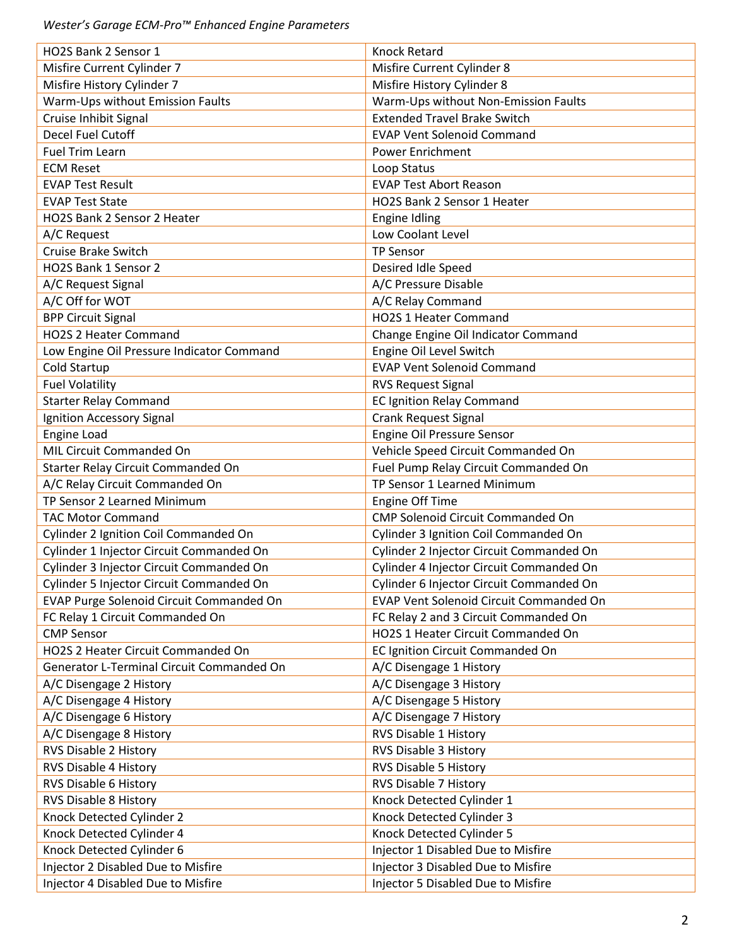| HO2S Bank 2 Sensor 1                      | <b>Knock Retard</b>                      |
|-------------------------------------------|------------------------------------------|
| Misfire Current Cylinder 7                | Misfire Current Cylinder 8               |
| Misfire History Cylinder 7                | Misfire History Cylinder 8               |
| Warm-Ups without Emission Faults          | Warm-Ups without Non-Emission Faults     |
| Cruise Inhibit Signal                     | <b>Extended Travel Brake Switch</b>      |
| Decel Fuel Cutoff                         | <b>EVAP Vent Solenoid Command</b>        |
| <b>Fuel Trim Learn</b>                    | <b>Power Enrichment</b>                  |
| <b>ECM Reset</b>                          | Loop Status                              |
| <b>EVAP Test Result</b>                   | <b>EVAP Test Abort Reason</b>            |
| <b>EVAP Test State</b>                    | HO2S Bank 2 Sensor 1 Heater              |
| HO2S Bank 2 Sensor 2 Heater               | <b>Engine Idling</b>                     |
| A/C Request                               | Low Coolant Level                        |
| <b>Cruise Brake Switch</b>                | <b>TP Sensor</b>                         |
| HO2S Bank 1 Sensor 2                      | Desired Idle Speed                       |
| A/C Request Signal                        | A/C Pressure Disable                     |
| A/C Off for WOT                           | A/C Relay Command                        |
| <b>BPP Circuit Signal</b>                 | HO2S 1 Heater Command                    |
| HO2S 2 Heater Command                     | Change Engine Oil Indicator Command      |
| Low Engine Oil Pressure Indicator Command | Engine Oil Level Switch                  |
| <b>Cold Startup</b>                       | <b>EVAP Vent Solenoid Command</b>        |
|                                           |                                          |
| <b>Fuel Volatility</b>                    | <b>RVS Request Signal</b>                |
| <b>Starter Relay Command</b>              | <b>EC Ignition Relay Command</b>         |
| Ignition Accessory Signal                 | <b>Crank Request Signal</b>              |
| Engine Load                               | Engine Oil Pressure Sensor               |
| MIL Circuit Commanded On                  | Vehicle Speed Circuit Commanded On       |
| Starter Relay Circuit Commanded On        | Fuel Pump Relay Circuit Commanded On     |
| A/C Relay Circuit Commanded On            | TP Sensor 1 Learned Minimum              |
| TP Sensor 2 Learned Minimum               | <b>Engine Off Time</b>                   |
| <b>TAC Motor Command</b>                  | CMP Solenoid Circuit Commanded On        |
| Cylinder 2 Ignition Coil Commanded On     | Cylinder 3 Ignition Coil Commanded On    |
| Cylinder 1 Injector Circuit Commanded On  | Cylinder 2 Injector Circuit Commanded On |
| Cylinder 3 Injector Circuit Commanded On  | Cylinder 4 Injector Circuit Commanded On |
| Cylinder 5 Injector Circuit Commanded On  | Cylinder 6 Injector Circuit Commanded On |
| EVAP Purge Solenoid Circuit Commanded On  | EVAP Vent Solenoid Circuit Commanded On  |
| FC Relay 1 Circuit Commanded On           | FC Relay 2 and 3 Circuit Commanded On    |
| <b>CMP Sensor</b>                         | HO2S 1 Heater Circuit Commanded On       |
| HO2S 2 Heater Circuit Commanded On        | EC Ignition Circuit Commanded On         |
| Generator L-Terminal Circuit Commanded On | A/C Disengage 1 History                  |
| A/C Disengage 2 History                   | A/C Disengage 3 History                  |
| A/C Disengage 4 History                   | A/C Disengage 5 History                  |
| A/C Disengage 6 History                   | A/C Disengage 7 History                  |
| A/C Disengage 8 History                   | RVS Disable 1 History                    |
| RVS Disable 2 History                     | RVS Disable 3 History                    |
| RVS Disable 4 History                     | RVS Disable 5 History                    |
| RVS Disable 6 History                     | RVS Disable 7 History                    |
| RVS Disable 8 History                     | Knock Detected Cylinder 1                |
| Knock Detected Cylinder 2                 | Knock Detected Cylinder 3                |
| Knock Detected Cylinder 4                 | Knock Detected Cylinder 5                |
| Knock Detected Cylinder 6                 | Injector 1 Disabled Due to Misfire       |
| Injector 2 Disabled Due to Misfire        | Injector 3 Disabled Due to Misfire       |
| Injector 4 Disabled Due to Misfire        | Injector 5 Disabled Due to Misfire       |
|                                           |                                          |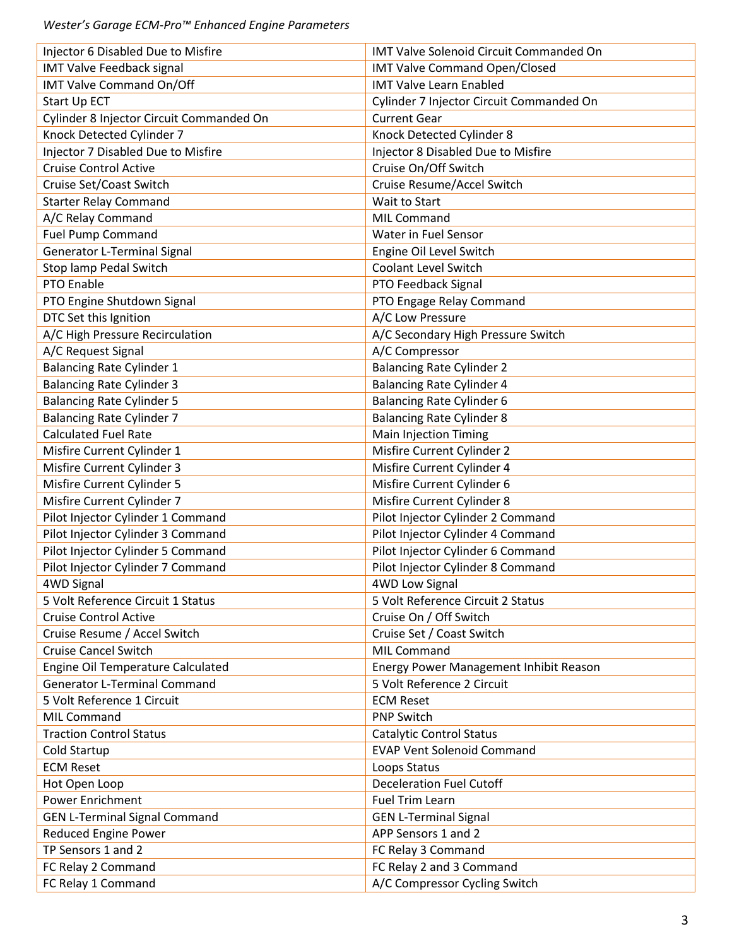| Injector 6 Disabled Due to Misfire       | <b>IMT Valve Solenoid Circuit Commanded On</b> |
|------------------------------------------|------------------------------------------------|
| <b>IMT Valve Feedback signal</b>         | <b>IMT Valve Command Open/Closed</b>           |
| <b>IMT Valve Command On/Off</b>          | <b>IMT Valve Learn Enabled</b>                 |
| Start Up ECT                             | Cylinder 7 Injector Circuit Commanded On       |
| Cylinder 8 Injector Circuit Commanded On | <b>Current Gear</b>                            |
| Knock Detected Cylinder 7                | Knock Detected Cylinder 8                      |
| Injector 7 Disabled Due to Misfire       | Injector 8 Disabled Due to Misfire             |
| <b>Cruise Control Active</b>             | Cruise On/Off Switch                           |
| Cruise Set/Coast Switch                  | Cruise Resume/Accel Switch                     |
| <b>Starter Relay Command</b>             | Wait to Start                                  |
| A/C Relay Command                        | <b>MIL Command</b>                             |
| <b>Fuel Pump Command</b>                 | Water in Fuel Sensor                           |
| <b>Generator L-Terminal Signal</b>       | Engine Oil Level Switch                        |
| Stop lamp Pedal Switch                   | <b>Coolant Level Switch</b>                    |
| PTO Enable                               | PTO Feedback Signal                            |
| PTO Engine Shutdown Signal               | PTO Engage Relay Command                       |
| DTC Set this Ignition                    | A/C Low Pressure                               |
| A/C High Pressure Recirculation          | A/C Secondary High Pressure Switch             |
| A/C Request Signal                       | A/C Compressor                                 |
| <b>Balancing Rate Cylinder 1</b>         | <b>Balancing Rate Cylinder 2</b>               |
| <b>Balancing Rate Cylinder 3</b>         | <b>Balancing Rate Cylinder 4</b>               |
| <b>Balancing Rate Cylinder 5</b>         | <b>Balancing Rate Cylinder 6</b>               |
| <b>Balancing Rate Cylinder 7</b>         | <b>Balancing Rate Cylinder 8</b>               |
| <b>Calculated Fuel Rate</b>              | <b>Main Injection Timing</b>                   |
| Misfire Current Cylinder 1               | Misfire Current Cylinder 2                     |
| Misfire Current Cylinder 3               | Misfire Current Cylinder 4                     |
| Misfire Current Cylinder 5               | Misfire Current Cylinder 6                     |
|                                          |                                                |
| Misfire Current Cylinder 7               | Misfire Current Cylinder 8                     |
| Pilot Injector Cylinder 1 Command        | Pilot Injector Cylinder 2 Command              |
| Pilot Injector Cylinder 3 Command        | Pilot Injector Cylinder 4 Command              |
| Pilot Injector Cylinder 5 Command        | Pilot Injector Cylinder 6 Command              |
| Pilot Injector Cylinder 7 Command        | Pilot Injector Cylinder 8 Command              |
| 4WD Signal                               | <b>4WD Low Signal</b>                          |
| 5 Volt Reference Circuit 1 Status        | 5 Volt Reference Circuit 2 Status              |
| <b>Cruise Control Active</b>             | Cruise On / Off Switch                         |
| Cruise Resume / Accel Switch             | Cruise Set / Coast Switch                      |
| <b>Cruise Cancel Switch</b>              | <b>MIL Command</b>                             |
| Engine Oil Temperature Calculated        | Energy Power Management Inhibit Reason         |
| <b>Generator L-Terminal Command</b>      | 5 Volt Reference 2 Circuit                     |
| 5 Volt Reference 1 Circuit               | <b>ECM Reset</b>                               |
| <b>MIL Command</b>                       | <b>PNP Switch</b>                              |
| <b>Traction Control Status</b>           | <b>Catalytic Control Status</b>                |
| Cold Startup                             | <b>EVAP Vent Solenoid Command</b>              |
| <b>ECM Reset</b>                         | Loops Status                                   |
| Hot Open Loop                            | <b>Deceleration Fuel Cutoff</b>                |
| Power Enrichment                         | Fuel Trim Learn                                |
| <b>GEN L-Terminal Signal Command</b>     | <b>GEN L-Terminal Signal</b>                   |
| Reduced Engine Power                     | APP Sensors 1 and 2                            |
| TP Sensors 1 and 2                       | FC Relay 3 Command                             |
| FC Relay 2 Command                       | FC Relay 2 and 3 Command                       |
| FC Relay 1 Command                       | A/C Compressor Cycling Switch                  |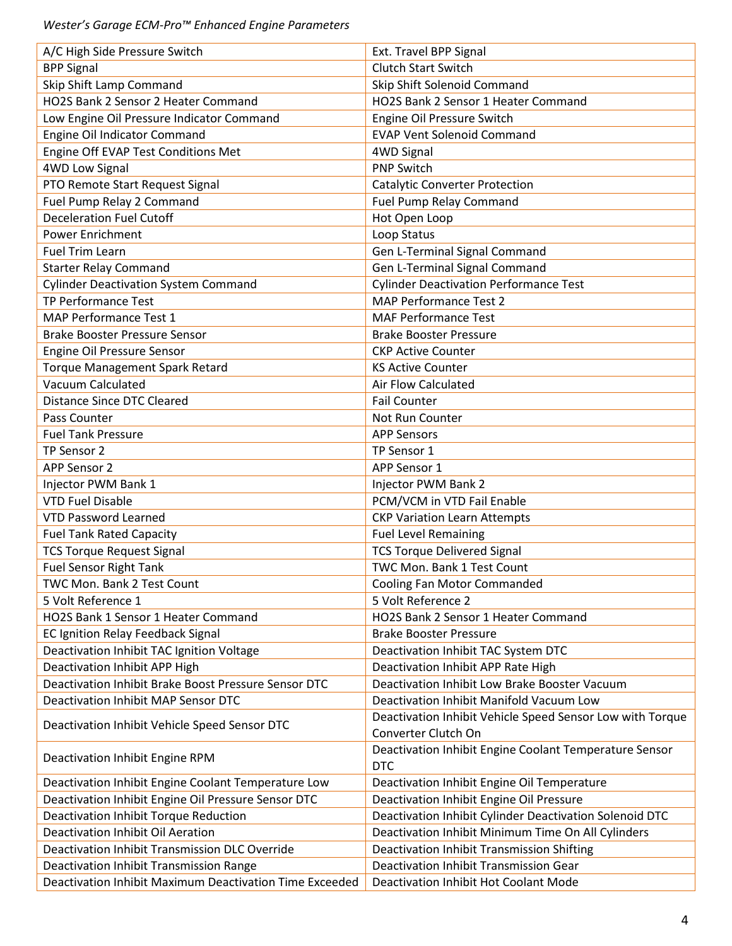| A/C High Side Pressure Switch                           | Ext. Travel BPP Signal                                    |
|---------------------------------------------------------|-----------------------------------------------------------|
| <b>BPP Signal</b>                                       | Clutch Start Switch                                       |
| Skip Shift Lamp Command                                 | Skip Shift Solenoid Command                               |
| HO2S Bank 2 Sensor 2 Heater Command                     | HO2S Bank 2 Sensor 1 Heater Command                       |
| Low Engine Oil Pressure Indicator Command               | Engine Oil Pressure Switch                                |
| Engine Oil Indicator Command                            | <b>EVAP Vent Solenoid Command</b>                         |
| Engine Off EVAP Test Conditions Met                     | 4WD Signal                                                |
| <b>4WD Low Signal</b>                                   | <b>PNP Switch</b>                                         |
| PTO Remote Start Request Signal                         | <b>Catalytic Converter Protection</b>                     |
| Fuel Pump Relay 2 Command                               | Fuel Pump Relay Command                                   |
| <b>Deceleration Fuel Cutoff</b>                         | Hot Open Loop                                             |
| <b>Power Enrichment</b>                                 | Loop Status                                               |
| <b>Fuel Trim Learn</b>                                  | Gen L-Terminal Signal Command                             |
| <b>Starter Relay Command</b>                            | Gen L-Terminal Signal Command                             |
| <b>Cylinder Deactivation System Command</b>             | <b>Cylinder Deactivation Performance Test</b>             |
| TP Performance Test                                     | <b>MAP Performance Test 2</b>                             |
| MAP Performance Test 1                                  | <b>MAF Performance Test</b>                               |
| <b>Brake Booster Pressure Sensor</b>                    | <b>Brake Booster Pressure</b>                             |
| Engine Oil Pressure Sensor                              | <b>CKP Active Counter</b>                                 |
| <b>Torque Management Spark Retard</b>                   | <b>KS Active Counter</b>                                  |
| Vacuum Calculated                                       | <b>Air Flow Calculated</b>                                |
| <b>Distance Since DTC Cleared</b>                       | <b>Fail Counter</b>                                       |
| Pass Counter                                            | Not Run Counter                                           |
| <b>Fuel Tank Pressure</b>                               | <b>APP Sensors</b>                                        |
| TP Sensor 2                                             | TP Sensor 1                                               |
| APP Sensor 2                                            | APP Sensor 1                                              |
| Injector PWM Bank 1                                     | Injector PWM Bank 2                                       |
| <b>VTD Fuel Disable</b>                                 | PCM/VCM in VTD Fail Enable                                |
| <b>VTD Password Learned</b>                             | <b>CKP Variation Learn Attempts</b>                       |
| <b>Fuel Tank Rated Capacity</b>                         | <b>Fuel Level Remaining</b>                               |
| <b>TCS Torque Request Signal</b>                        | <b>TCS Torque Delivered Signal</b>                        |
| <b>Fuel Sensor Right Tank</b>                           | <b>TWC Mon. Bank 1 Test Count</b>                         |
| TWC Mon. Bank 2 Test Count                              | Cooling Fan Motor Commanded                               |
| 5 Volt Reference 1                                      | 5 Volt Reference 2                                        |
| HO2S Bank 1 Sensor 1 Heater Command                     | HO2S Bank 2 Sensor 1 Heater Command                       |
| EC Ignition Relay Feedback Signal                       | <b>Brake Booster Pressure</b>                             |
| Deactivation Inhibit TAC Ignition Voltage               | Deactivation Inhibit TAC System DTC                       |
| Deactivation Inhibit APP High                           | Deactivation Inhibit APP Rate High                        |
| Deactivation Inhibit Brake Boost Pressure Sensor DTC    | Deactivation Inhibit Low Brake Booster Vacuum             |
| <b>Deactivation Inhibit MAP Sensor DTC</b>              | Deactivation Inhibit Manifold Vacuum Low                  |
|                                                         | Deactivation Inhibit Vehicle Speed Sensor Low with Torque |
| Deactivation Inhibit Vehicle Speed Sensor DTC           | Converter Clutch On                                       |
| Deactivation Inhibit Engine RPM                         | Deactivation Inhibit Engine Coolant Temperature Sensor    |
|                                                         | <b>DTC</b>                                                |
| Deactivation Inhibit Engine Coolant Temperature Low     | Deactivation Inhibit Engine Oil Temperature               |
| Deactivation Inhibit Engine Oil Pressure Sensor DTC     | Deactivation Inhibit Engine Oil Pressure                  |
| Deactivation Inhibit Torque Reduction                   | Deactivation Inhibit Cylinder Deactivation Solenoid DTC   |
| Deactivation Inhibit Oil Aeration                       | Deactivation Inhibit Minimum Time On All Cylinders        |
| Deactivation Inhibit Transmission DLC Override          | Deactivation Inhibit Transmission Shifting                |
| Deactivation Inhibit Transmission Range                 | Deactivation Inhibit Transmission Gear                    |
| Deactivation Inhibit Maximum Deactivation Time Exceeded | Deactivation Inhibit Hot Coolant Mode                     |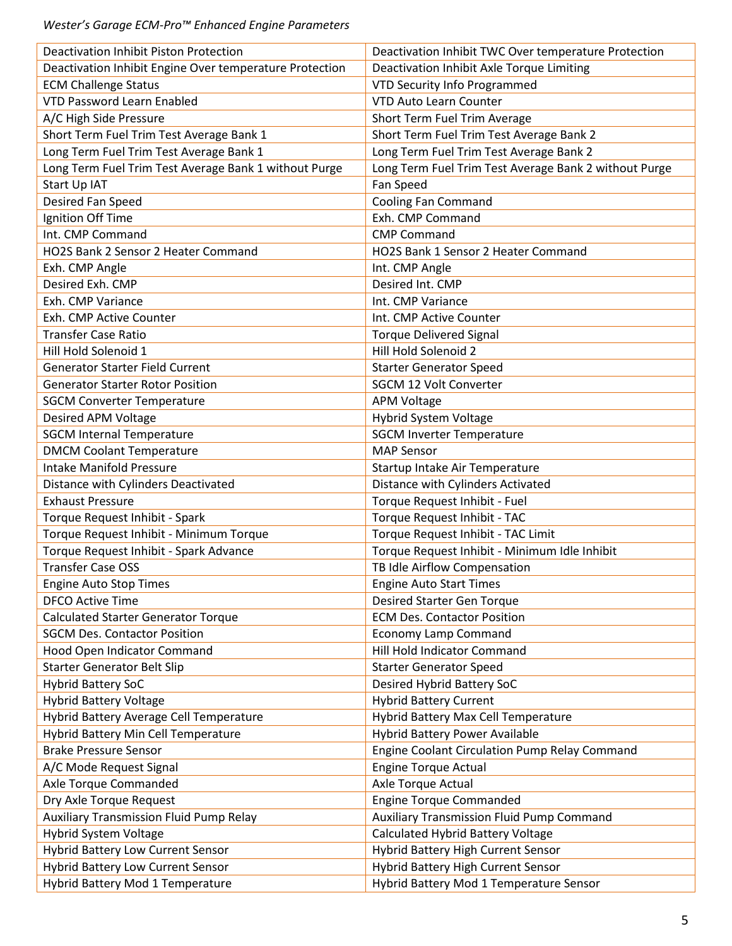| <b>Deactivation Inhibit Piston Protection</b>           | Deactivation Inhibit TWC Over temperature Protection  |
|---------------------------------------------------------|-------------------------------------------------------|
| Deactivation Inhibit Engine Over temperature Protection | Deactivation Inhibit Axle Torque Limiting             |
| <b>ECM Challenge Status</b>                             | VTD Security Info Programmed                          |
| <b>VTD Password Learn Enabled</b>                       | <b>VTD Auto Learn Counter</b>                         |
| A/C High Side Pressure                                  | Short Term Fuel Trim Average                          |
| Short Term Fuel Trim Test Average Bank 1                | Short Term Fuel Trim Test Average Bank 2              |
| Long Term Fuel Trim Test Average Bank 1                 | Long Term Fuel Trim Test Average Bank 2               |
| Long Term Fuel Trim Test Average Bank 1 without Purge   | Long Term Fuel Trim Test Average Bank 2 without Purge |
| Start Up IAT                                            | Fan Speed                                             |
| Desired Fan Speed                                       | Cooling Fan Command                                   |
| Ignition Off Time                                       | Exh. CMP Command                                      |
| Int. CMP Command                                        | <b>CMP Command</b>                                    |
| HO2S Bank 2 Sensor 2 Heater Command                     | HO2S Bank 1 Sensor 2 Heater Command                   |
| Exh. CMP Angle                                          | Int. CMP Angle                                        |
| Desired Exh. CMP                                        | Desired Int. CMP                                      |
| Exh. CMP Variance                                       | Int. CMP Variance                                     |
| Exh. CMP Active Counter                                 | Int. CMP Active Counter                               |
| <b>Transfer Case Ratio</b>                              | <b>Torque Delivered Signal</b>                        |
| Hill Hold Solenoid 1                                    | Hill Hold Solenoid 2                                  |
| <b>Generator Starter Field Current</b>                  | <b>Starter Generator Speed</b>                        |
| <b>Generator Starter Rotor Position</b>                 | <b>SGCM 12 Volt Converter</b>                         |
| <b>SGCM Converter Temperature</b>                       | <b>APM Voltage</b>                                    |
| Desired APM Voltage                                     | Hybrid System Voltage                                 |
| <b>SGCM Internal Temperature</b>                        | <b>SGCM Inverter Temperature</b>                      |
| <b>DMCM Coolant Temperature</b>                         | <b>MAP Sensor</b>                                     |
| <b>Intake Manifold Pressure</b>                         | Startup Intake Air Temperature                        |
| Distance with Cylinders Deactivated                     | Distance with Cylinders Activated                     |
| <b>Exhaust Pressure</b>                                 | Torque Request Inhibit - Fuel                         |
| Torque Request Inhibit - Spark                          | Torque Request Inhibit - TAC                          |
| Torque Request Inhibit - Minimum Torque                 | Torque Request Inhibit - TAC Limit                    |
| Torque Request Inhibit - Spark Advance                  | Torque Request Inhibit - Minimum Idle Inhibit         |
| <b>Transfer Case OSS</b>                                | TB Idle Airflow Compensation                          |
| <b>Engine Auto Stop Times</b>                           | <b>Engine Auto Start Times</b>                        |
| <b>DFCO Active Time</b>                                 | <b>Desired Starter Gen Torque</b>                     |
| <b>Calculated Starter Generator Torque</b>              | <b>ECM Des. Contactor Position</b>                    |
| <b>SGCM Des. Contactor Position</b>                     | <b>Economy Lamp Command</b>                           |
| Hood Open Indicator Command                             | Hill Hold Indicator Command                           |
| <b>Starter Generator Belt Slip</b>                      | <b>Starter Generator Speed</b>                        |
|                                                         |                                                       |
| <b>Hybrid Battery SoC</b>                               | Desired Hybrid Battery SoC                            |
| <b>Hybrid Battery Voltage</b>                           | <b>Hybrid Battery Current</b>                         |
| Hybrid Battery Average Cell Temperature                 | Hybrid Battery Max Cell Temperature                   |
| Hybrid Battery Min Cell Temperature                     | Hybrid Battery Power Available                        |
| <b>Brake Pressure Sensor</b>                            | Engine Coolant Circulation Pump Relay Command         |
| A/C Mode Request Signal                                 | <b>Engine Torque Actual</b>                           |
| Axle Torque Commanded                                   | Axle Torque Actual                                    |
| Dry Axle Torque Request                                 | <b>Engine Torque Commanded</b>                        |
| <b>Auxiliary Transmission Fluid Pump Relay</b>          | <b>Auxiliary Transmission Fluid Pump Command</b>      |
| Hybrid System Voltage                                   | Calculated Hybrid Battery Voltage                     |
| <b>Hybrid Battery Low Current Sensor</b>                | Hybrid Battery High Current Sensor                    |
| <b>Hybrid Battery Low Current Sensor</b>                | Hybrid Battery High Current Sensor                    |
| Hybrid Battery Mod 1 Temperature                        | Hybrid Battery Mod 1 Temperature Sensor               |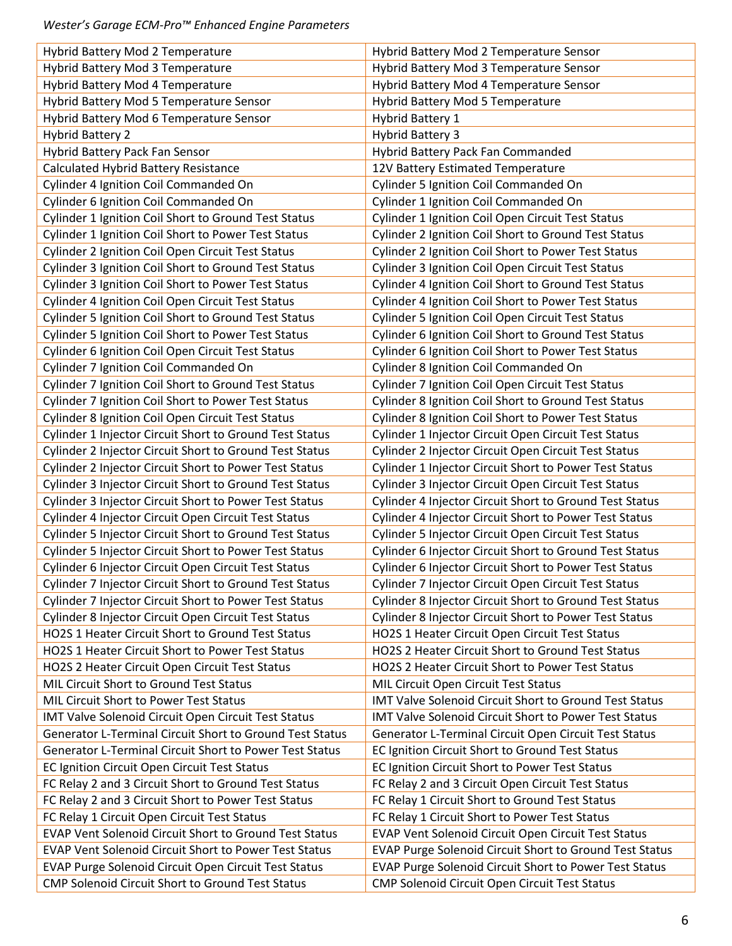| Hybrid Battery Mod 2 Temperature                             | Hybrid Battery Mod 2 Temperature Sensor                  |
|--------------------------------------------------------------|----------------------------------------------------------|
| Hybrid Battery Mod 3 Temperature                             | Hybrid Battery Mod 3 Temperature Sensor                  |
| Hybrid Battery Mod 4 Temperature                             | Hybrid Battery Mod 4 Temperature Sensor                  |
| Hybrid Battery Mod 5 Temperature Sensor                      | Hybrid Battery Mod 5 Temperature                         |
| Hybrid Battery Mod 6 Temperature Sensor                      | <b>Hybrid Battery 1</b>                                  |
| <b>Hybrid Battery 2</b>                                      | <b>Hybrid Battery 3</b>                                  |
| Hybrid Battery Pack Fan Sensor                               | Hybrid Battery Pack Fan Commanded                        |
| Calculated Hybrid Battery Resistance                         | 12V Battery Estimated Temperature                        |
| Cylinder 4 Ignition Coil Commanded On                        | Cylinder 5 Ignition Coil Commanded On                    |
| Cylinder 6 Ignition Coil Commanded On                        | Cylinder 1 Ignition Coil Commanded On                    |
| Cylinder 1 Ignition Coil Short to Ground Test Status         | Cylinder 1 Ignition Coil Open Circuit Test Status        |
| Cylinder 1 Ignition Coil Short to Power Test Status          | Cylinder 2 Ignition Coil Short to Ground Test Status     |
| <b>Cylinder 2 Ignition Coil Open Circuit Test Status</b>     | Cylinder 2 Ignition Coil Short to Power Test Status      |
| Cylinder 3 Ignition Coil Short to Ground Test Status         | Cylinder 3 Ignition Coil Open Circuit Test Status        |
| Cylinder 3 Ignition Coil Short to Power Test Status          | Cylinder 4 Ignition Coil Short to Ground Test Status     |
| Cylinder 4 Ignition Coil Open Circuit Test Status            | Cylinder 4 Ignition Coil Short to Power Test Status      |
| Cylinder 5 Ignition Coil Short to Ground Test Status         | <b>Cylinder 5 Ignition Coil Open Circuit Test Status</b> |
| Cylinder 5 Ignition Coil Short to Power Test Status          | Cylinder 6 Ignition Coil Short to Ground Test Status     |
| Cylinder 6 Ignition Coil Open Circuit Test Status            | Cylinder 6 Ignition Coil Short to Power Test Status      |
| Cylinder 7 Ignition Coil Commanded On                        | Cylinder 8 Ignition Coil Commanded On                    |
| Cylinder 7 Ignition Coil Short to Ground Test Status         | Cylinder 7 Ignition Coil Open Circuit Test Status        |
| Cylinder 7 Ignition Coil Short to Power Test Status          | Cylinder 8 Ignition Coil Short to Ground Test Status     |
| <b>Cylinder 8 Ignition Coil Open Circuit Test Status</b>     | Cylinder 8 Ignition Coil Short to Power Test Status      |
| Cylinder 1 Injector Circuit Short to Ground Test Status      | Cylinder 1 Injector Circuit Open Circuit Test Status     |
| Cylinder 2 Injector Circuit Short to Ground Test Status      | Cylinder 2 Injector Circuit Open Circuit Test Status     |
| Cylinder 2 Injector Circuit Short to Power Test Status       | Cylinder 1 Injector Circuit Short to Power Test Status   |
| Cylinder 3 Injector Circuit Short to Ground Test Status      | Cylinder 3 Injector Circuit Open Circuit Test Status     |
| Cylinder 3 Injector Circuit Short to Power Test Status       | Cylinder 4 Injector Circuit Short to Ground Test Status  |
| Cylinder 4 Injector Circuit Open Circuit Test Status         | Cylinder 4 Injector Circuit Short to Power Test Status   |
| Cylinder 5 Injector Circuit Short to Ground Test Status      | Cylinder 5 Injector Circuit Open Circuit Test Status     |
| Cylinder 5 Injector Circuit Short to Power Test Status       | Cylinder 6 Injector Circuit Short to Ground Test Status  |
| Cylinder 6 Injector Circuit Open Circuit Test Status         | Cylinder 6 Injector Circuit Short to Power Test Status   |
| Cylinder 7 Injector Circuit Short to Ground Test Status      | Cylinder 7 Injector Circuit Open Circuit Test Status     |
| Cylinder 7 Injector Circuit Short to Power Test Status       | Cylinder 8 Injector Circuit Short to Ground Test Status  |
| Cylinder 8 Injector Circuit Open Circuit Test Status         | Cylinder 8 Injector Circuit Short to Power Test Status   |
| HO2S 1 Heater Circuit Short to Ground Test Status            | HO2S 1 Heater Circuit Open Circuit Test Status           |
| HO2S 1 Heater Circuit Short to Power Test Status             | HO2S 2 Heater Circuit Short to Ground Test Status        |
| HO2S 2 Heater Circuit Open Circuit Test Status               | HO2S 2 Heater Circuit Short to Power Test Status         |
| MIL Circuit Short to Ground Test Status                      | MIL Circuit Open Circuit Test Status                     |
| MIL Circuit Short to Power Test Status                       | IMT Valve Solenoid Circuit Short to Ground Test Status   |
| IMT Valve Solenoid Circuit Open Circuit Test Status          | IMT Valve Solenoid Circuit Short to Power Test Status    |
| Generator L-Terminal Circuit Short to Ground Test Status     | Generator L-Terminal Circuit Open Circuit Test Status    |
| Generator L-Terminal Circuit Short to Power Test Status      | EC Ignition Circuit Short to Ground Test Status          |
| EC Ignition Circuit Open Circuit Test Status                 | EC Ignition Circuit Short to Power Test Status           |
| FC Relay 2 and 3 Circuit Short to Ground Test Status         | FC Relay 2 and 3 Circuit Open Circuit Test Status        |
| FC Relay 2 and 3 Circuit Short to Power Test Status          | FC Relay 1 Circuit Short to Ground Test Status           |
| FC Relay 1 Circuit Open Circuit Test Status                  | FC Relay 1 Circuit Short to Power Test Status            |
| EVAP Vent Solenoid Circuit Short to Ground Test Status       | EVAP Vent Solenoid Circuit Open Circuit Test Status      |
| <b>EVAP Vent Solenoid Circuit Short to Power Test Status</b> | EVAP Purge Solenoid Circuit Short to Ground Test Status  |
|                                                              |                                                          |
| EVAP Purge Solenoid Circuit Open Circuit Test Status         | EVAP Purge Solenoid Circuit Short to Power Test Status   |
| CMP Solenoid Circuit Short to Ground Test Status             | CMP Solenoid Circuit Open Circuit Test Status            |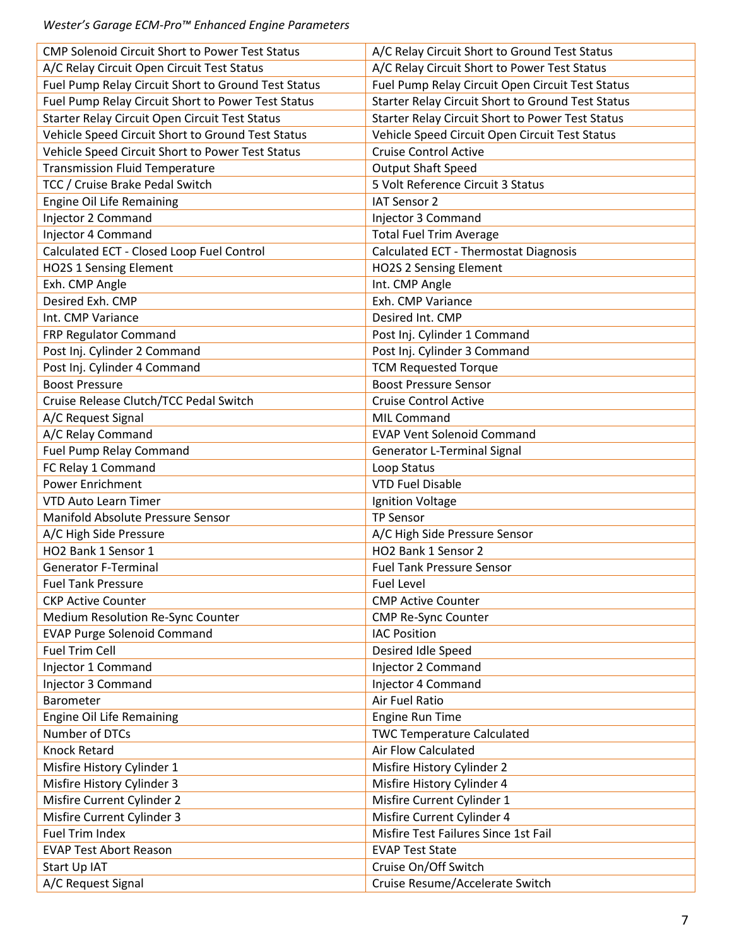| <b>CMP Solenoid Circuit Short to Power Test Status</b> | A/C Relay Circuit Short to Ground Test Status            |
|--------------------------------------------------------|----------------------------------------------------------|
| A/C Relay Circuit Open Circuit Test Status             | A/C Relay Circuit Short to Power Test Status             |
| Fuel Pump Relay Circuit Short to Ground Test Status    | Fuel Pump Relay Circuit Open Circuit Test Status         |
| Fuel Pump Relay Circuit Short to Power Test Status     | <b>Starter Relay Circuit Short to Ground Test Status</b> |
| Starter Relay Circuit Open Circuit Test Status         | <b>Starter Relay Circuit Short to Power Test Status</b>  |
| Vehicle Speed Circuit Short to Ground Test Status      | Vehicle Speed Circuit Open Circuit Test Status           |
| Vehicle Speed Circuit Short to Power Test Status       | <b>Cruise Control Active</b>                             |
| <b>Transmission Fluid Temperature</b>                  | <b>Output Shaft Speed</b>                                |
| TCC / Cruise Brake Pedal Switch                        | 5 Volt Reference Circuit 3 Status                        |
| Engine Oil Life Remaining                              | IAT Sensor 2                                             |
| Injector 2 Command                                     | Injector 3 Command                                       |
| Injector 4 Command                                     | <b>Total Fuel Trim Average</b>                           |
| Calculated ECT - Closed Loop Fuel Control              | Calculated ECT - Thermostat Diagnosis                    |
| <b>HO2S 1 Sensing Element</b>                          | <b>HO2S 2 Sensing Element</b>                            |
| Exh. CMP Angle                                         | Int. CMP Angle                                           |
| Desired Exh. CMP                                       | Exh. CMP Variance                                        |
| Int. CMP Variance                                      | Desired Int. CMP                                         |
| FRP Regulator Command                                  | Post Inj. Cylinder 1 Command                             |
| Post Inj. Cylinder 2 Command                           | Post Inj. Cylinder 3 Command                             |
| Post Inj. Cylinder 4 Command                           | <b>TCM Requested Torque</b>                              |
| <b>Boost Pressure</b>                                  | <b>Boost Pressure Sensor</b>                             |
| Cruise Release Clutch/TCC Pedal Switch                 | <b>Cruise Control Active</b>                             |
| A/C Request Signal                                     | <b>MIL Command</b>                                       |
| A/C Relay Command                                      | <b>EVAP Vent Solenoid Command</b>                        |
| <b>Fuel Pump Relay Command</b>                         | Generator L-Terminal Signal                              |
| FC Relay 1 Command                                     | Loop Status                                              |
| <b>Power Enrichment</b>                                | <b>VTD Fuel Disable</b>                                  |
| <b>VTD Auto Learn Timer</b>                            | Ignition Voltage                                         |
| Manifold Absolute Pressure Sensor                      | <b>TP Sensor</b>                                         |
| A/C High Side Pressure                                 | A/C High Side Pressure Sensor                            |
| HO2 Bank 1 Sensor 1                                    | HO2 Bank 1 Sensor 2                                      |
| <b>Generator F-Terminal</b>                            | <b>Fuel Tank Pressure Sensor</b>                         |
| <b>Fuel Tank Pressure</b>                              | <b>Fuel Level</b>                                        |
| <b>CKP Active Counter</b>                              | <b>CMP Active Counter</b>                                |
| Medium Resolution Re-Sync Counter                      | <b>CMP Re-Sync Counter</b>                               |
| <b>EVAP Purge Solenoid Command</b>                     | <b>IAC Position</b>                                      |
| <b>Fuel Trim Cell</b>                                  | Desired Idle Speed                                       |
| Injector 1 Command                                     | Injector 2 Command                                       |
| Injector 3 Command                                     | Injector 4 Command                                       |
| Barometer                                              | Air Fuel Ratio                                           |
| <b>Engine Oil Life Remaining</b>                       | <b>Engine Run Time</b>                                   |
| Number of DTCs                                         | <b>TWC Temperature Calculated</b>                        |
| <b>Knock Retard</b>                                    | Air Flow Calculated                                      |
| Misfire History Cylinder 1                             | Misfire History Cylinder 2                               |
| Misfire History Cylinder 3                             | Misfire History Cylinder 4                               |
| Misfire Current Cylinder 2                             | Misfire Current Cylinder 1                               |
| Misfire Current Cylinder 3                             | Misfire Current Cylinder 4                               |
| <b>Fuel Trim Index</b>                                 | Misfire Test Failures Since 1st Fail                     |
| <b>EVAP Test Abort Reason</b>                          | <b>EVAP Test State</b>                                   |
| Start Up IAT                                           | Cruise On/Off Switch                                     |
| A/C Request Signal                                     | Cruise Resume/Accelerate Switch                          |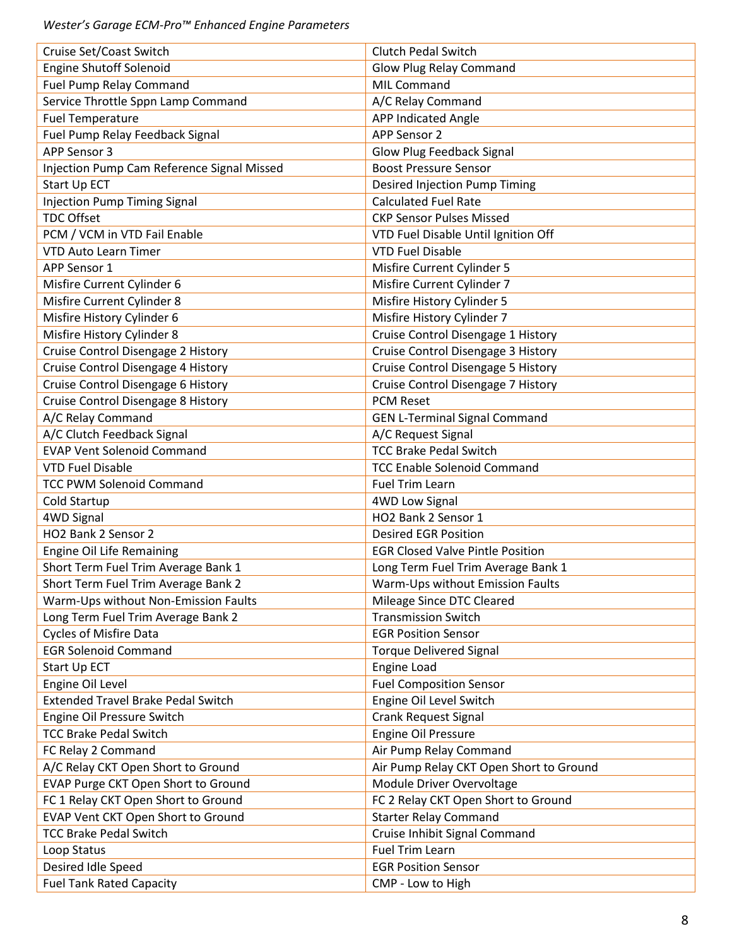| Cruise Set/Coast Switch                    | <b>Clutch Pedal Switch</b>              |
|--------------------------------------------|-----------------------------------------|
| <b>Engine Shutoff Solenoid</b>             | Glow Plug Relay Command                 |
| <b>Fuel Pump Relay Command</b>             | <b>MIL Command</b>                      |
| Service Throttle Sppn Lamp Command         | A/C Relay Command                       |
| <b>Fuel Temperature</b>                    | <b>APP Indicated Angle</b>              |
| Fuel Pump Relay Feedback Signal            | <b>APP Sensor 2</b>                     |
| APP Sensor 3                               | Glow Plug Feedback Signal               |
| Injection Pump Cam Reference Signal Missed | <b>Boost Pressure Sensor</b>            |
| <b>Start Up ECT</b>                        | Desired Injection Pump Timing           |
| <b>Injection Pump Timing Signal</b>        | <b>Calculated Fuel Rate</b>             |
| <b>TDC Offset</b>                          | <b>CKP Sensor Pulses Missed</b>         |
| PCM / VCM in VTD Fail Enable               | VTD Fuel Disable Until Ignition Off     |
| <b>VTD Auto Learn Timer</b>                | <b>VTD Fuel Disable</b>                 |
| APP Sensor 1                               | Misfire Current Cylinder 5              |
| Misfire Current Cylinder 6                 | Misfire Current Cylinder 7              |
| Misfire Current Cylinder 8                 | Misfire History Cylinder 5              |
| Misfire History Cylinder 6                 | Misfire History Cylinder 7              |
| Misfire History Cylinder 8                 | Cruise Control Disengage 1 History      |
| Cruise Control Disengage 2 History         | Cruise Control Disengage 3 History      |
| Cruise Control Disengage 4 History         | Cruise Control Disengage 5 History      |
| Cruise Control Disengage 6 History         | Cruise Control Disengage 7 History      |
| Cruise Control Disengage 8 History         | <b>PCM Reset</b>                        |
| A/C Relay Command                          | <b>GEN L-Terminal Signal Command</b>    |
| A/C Clutch Feedback Signal                 | A/C Request Signal                      |
| <b>EVAP Vent Solenoid Command</b>          | <b>TCC Brake Pedal Switch</b>           |
| <b>VTD Fuel Disable</b>                    | <b>TCC Enable Solenoid Command</b>      |
| <b>TCC PWM Solenoid Command</b>            | <b>Fuel Trim Learn</b>                  |
| Cold Startup                               | <b>4WD Low Signal</b>                   |
| 4WD Signal                                 | HO2 Bank 2 Sensor 1                     |
| HO2 Bank 2 Sensor 2                        | <b>Desired EGR Position</b>             |
| Engine Oil Life Remaining                  | <b>EGR Closed Valve Pintle Position</b> |
| Short Term Fuel Trim Average Bank 1        | Long Term Fuel Trim Average Bank 1      |
| Short Term Fuel Trim Average Bank 2        | Warm-Ups without Emission Faults        |
| Warm-Ups without Non-Emission Faults       | Mileage Since DTC Cleared               |
| Long Term Fuel Trim Average Bank 2         | <b>Transmission Switch</b>              |
| <b>Cycles of Misfire Data</b>              | <b>EGR Position Sensor</b>              |
| <b>EGR Solenoid Command</b>                | <b>Torque Delivered Signal</b>          |
| Start Up ECT                               | Engine Load                             |
| Engine Oil Level                           | <b>Fuel Composition Sensor</b>          |
| <b>Extended Travel Brake Pedal Switch</b>  | Engine Oil Level Switch                 |
| Engine Oil Pressure Switch                 | <b>Crank Request Signal</b>             |
| <b>TCC Brake Pedal Switch</b>              | Engine Oil Pressure                     |
| FC Relay 2 Command                         | Air Pump Relay Command                  |
| A/C Relay CKT Open Short to Ground         | Air Pump Relay CKT Open Short to Ground |
| EVAP Purge CKT Open Short to Ground        | Module Driver Overvoltage               |
| FC 1 Relay CKT Open Short to Ground        | FC 2 Relay CKT Open Short to Ground     |
| EVAP Vent CKT Open Short to Ground         | <b>Starter Relay Command</b>            |
| <b>TCC Brake Pedal Switch</b>              | Cruise Inhibit Signal Command           |
| Loop Status                                | <b>Fuel Trim Learn</b>                  |
| Desired Idle Speed                         | <b>EGR Position Sensor</b>              |
| <b>Fuel Tank Rated Capacity</b>            | CMP - Low to High                       |
|                                            |                                         |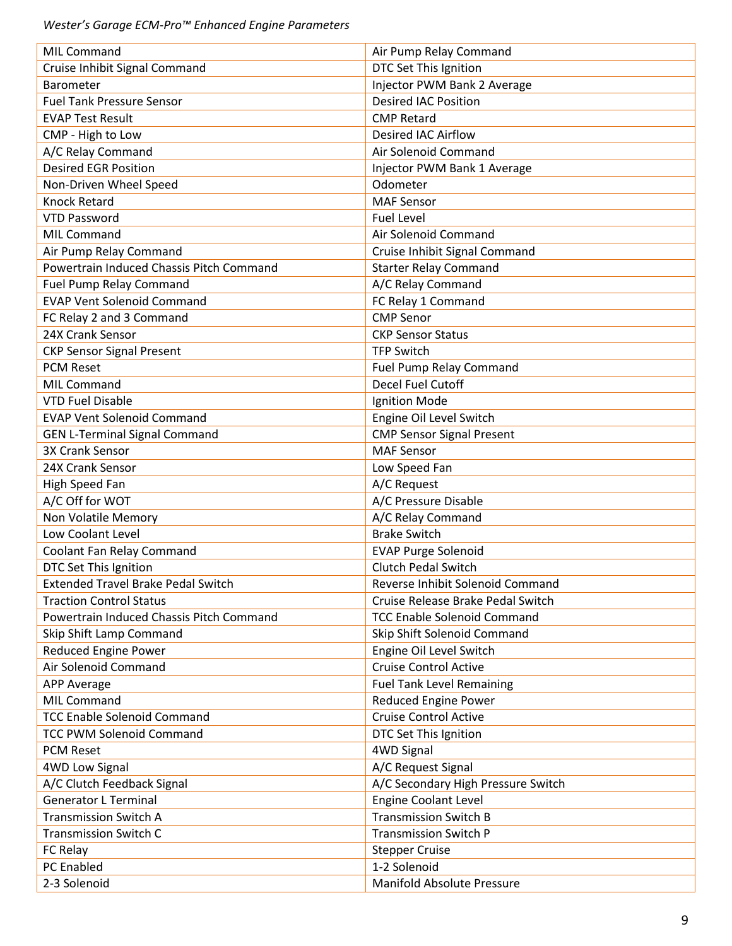| MIL Command                               | Air Pump Relay Command             |
|-------------------------------------------|------------------------------------|
| Cruise Inhibit Signal Command             | DTC Set This Ignition              |
| Barometer                                 | Injector PWM Bank 2 Average        |
| <b>Fuel Tank Pressure Sensor</b>          | <b>Desired IAC Position</b>        |
| <b>EVAP Test Result</b>                   | <b>CMP Retard</b>                  |
| CMP - High to Low                         | <b>Desired IAC Airflow</b>         |
| A/C Relay Command                         | Air Solenoid Command               |
| <b>Desired EGR Position</b>               | Injector PWM Bank 1 Average        |
| Non-Driven Wheel Speed                    | Odometer                           |
| <b>Knock Retard</b>                       | <b>MAF Sensor</b>                  |
| <b>VTD Password</b>                       | <b>Fuel Level</b>                  |
| <b>MIL Command</b>                        | Air Solenoid Command               |
| Air Pump Relay Command                    | Cruise Inhibit Signal Command      |
| Powertrain Induced Chassis Pitch Command  | <b>Starter Relay Command</b>       |
| <b>Fuel Pump Relay Command</b>            | A/C Relay Command                  |
| <b>EVAP Vent Solenoid Command</b>         | FC Relay 1 Command                 |
| FC Relay 2 and 3 Command                  | <b>CMP Senor</b>                   |
| 24X Crank Sensor                          | <b>CKP Sensor Status</b>           |
| <b>CKP Sensor Signal Present</b>          | <b>TFP Switch</b>                  |
| <b>PCM Reset</b>                          | Fuel Pump Relay Command            |
| <b>MIL Command</b>                        | <b>Decel Fuel Cutoff</b>           |
| <b>VTD Fuel Disable</b>                   | Ignition Mode                      |
| <b>EVAP Vent Solenoid Command</b>         | Engine Oil Level Switch            |
| <b>GEN L-Terminal Signal Command</b>      | <b>CMP Sensor Signal Present</b>   |
| 3X Crank Sensor                           | <b>MAF Sensor</b>                  |
| 24X Crank Sensor                          | Low Speed Fan                      |
| High Speed Fan                            | A/C Request                        |
| A/C Off for WOT                           | A/C Pressure Disable               |
| Non Volatile Memory                       | A/C Relay Command                  |
| Low Coolant Level                         | <b>Brake Switch</b>                |
| Coolant Fan Relay Command                 | <b>EVAP Purge Solenoid</b>         |
| DTC Set This Ignition                     | <b>Clutch Pedal Switch</b>         |
| <b>Extended Travel Brake Pedal Switch</b> | Reverse Inhibit Solenoid Command   |
| <b>Traction Control Status</b>            | Cruise Release Brake Pedal Switch  |
| Powertrain Induced Chassis Pitch Command  | <b>TCC Enable Solenoid Command</b> |
| Skip Shift Lamp Command                   | Skip Shift Solenoid Command        |
| <b>Reduced Engine Power</b>               | Engine Oil Level Switch            |
| Air Solenoid Command                      | <b>Cruise Control Active</b>       |
| <b>APP Average</b>                        | <b>Fuel Tank Level Remaining</b>   |
| <b>MIL Command</b>                        | <b>Reduced Engine Power</b>        |
| <b>TCC Enable Solenoid Command</b>        | <b>Cruise Control Active</b>       |
| <b>TCC PWM Solenoid Command</b>           |                                    |
|                                           | DTC Set This Ignition              |
| <b>PCM Reset</b>                          | 4WD Signal                         |
| <b>4WD Low Signal</b>                     | A/C Request Signal                 |
| A/C Clutch Feedback Signal                | A/C Secondary High Pressure Switch |
| <b>Generator L Terminal</b>               | <b>Engine Coolant Level</b>        |
| <b>Transmission Switch A</b>              | <b>Transmission Switch B</b>       |
| <b>Transmission Switch C</b>              | <b>Transmission Switch P</b>       |
| FC Relay                                  | <b>Stepper Cruise</b>              |
| <b>PC Enabled</b>                         | 1-2 Solenoid                       |
| 2-3 Solenoid                              | Manifold Absolute Pressure         |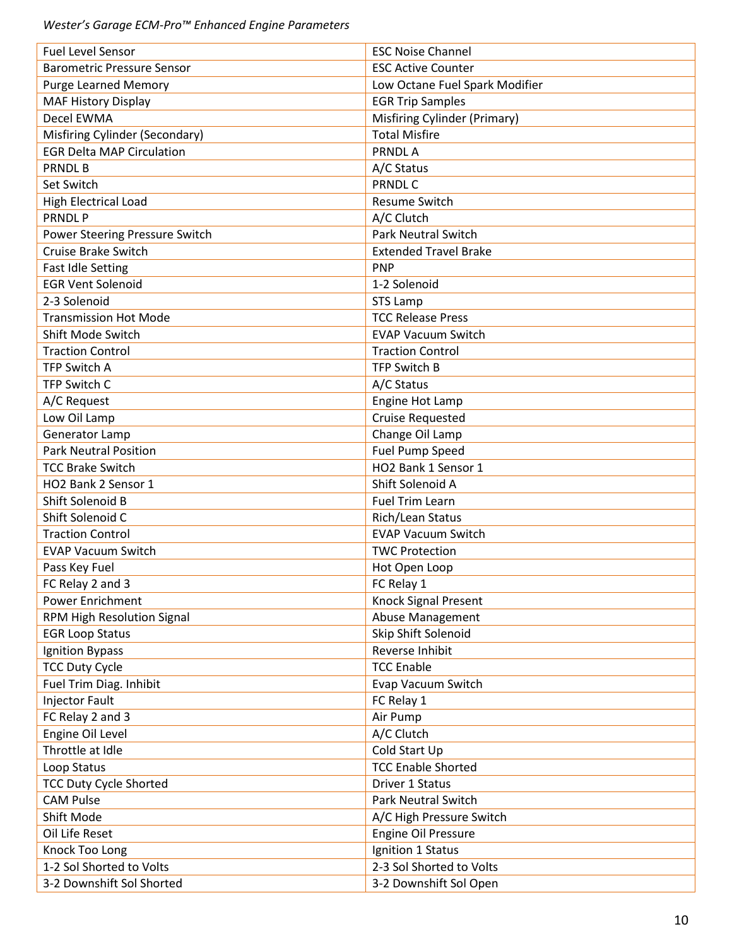| <b>Fuel Level Sensor</b>          | <b>ESC Noise Channel</b>            |
|-----------------------------------|-------------------------------------|
| <b>Barometric Pressure Sensor</b> | <b>ESC Active Counter</b>           |
| <b>Purge Learned Memory</b>       | Low Octane Fuel Spark Modifier      |
| <b>MAF History Display</b>        | <b>EGR Trip Samples</b>             |
| Decel EWMA                        | <b>Misfiring Cylinder (Primary)</b> |
| Misfiring Cylinder (Secondary)    | <b>Total Misfire</b>                |
| <b>EGR Delta MAP Circulation</b>  | <b>PRNDLA</b>                       |
| <b>PRNDLB</b>                     | A/C Status                          |
| Set Switch                        | <b>PRNDLC</b>                       |
| <b>High Electrical Load</b>       | <b>Resume Switch</b>                |
| <b>PRNDLP</b>                     | A/C Clutch                          |
| Power Steering Pressure Switch    | <b>Park Neutral Switch</b>          |
| Cruise Brake Switch               | <b>Extended Travel Brake</b>        |
| Fast Idle Setting                 | <b>PNP</b>                          |
| <b>EGR Vent Solenoid</b>          | 1-2 Solenoid                        |
| 2-3 Solenoid                      | <b>STS Lamp</b>                     |
| <b>Transmission Hot Mode</b>      | <b>TCC Release Press</b>            |
| Shift Mode Switch                 | <b>EVAP Vacuum Switch</b>           |
| <b>Traction Control</b>           | <b>Traction Control</b>             |
| <b>TFP Switch A</b>               | <b>TFP Switch B</b>                 |
| TFP Switch C                      | A/C Status                          |
| A/C Request                       | Engine Hot Lamp                     |
| Low Oil Lamp                      | <b>Cruise Requested</b>             |
| Generator Lamp                    | Change Oil Lamp                     |
| <b>Park Neutral Position</b>      | Fuel Pump Speed                     |
| <b>TCC Brake Switch</b>           | HO2 Bank 1 Sensor 1                 |
| HO2 Bank 2 Sensor 1               | Shift Solenoid A                    |
| Shift Solenoid B                  | Fuel Trim Learn                     |
| Shift Solenoid C                  | Rich/Lean Status                    |
| <b>Traction Control</b>           | <b>EVAP Vacuum Switch</b>           |
| <b>EVAP Vacuum Switch</b>         | <b>TWC Protection</b>               |
| Pass Key Fuel                     | Hot Open Loop                       |
| FC Relay 2 and 3                  | FC Relay 1                          |
| Power Enrichment                  | <b>Knock Signal Present</b>         |
| RPM High Resolution Signal        | Abuse Management                    |
| <b>EGR Loop Status</b>            | Skip Shift Solenoid                 |
| Ignition Bypass                   | Reverse Inhibit                     |
| <b>TCC Duty Cycle</b>             | <b>TCC Enable</b>                   |
|                                   | Evap Vacuum Switch                  |
| Fuel Trim Diag. Inhibit           |                                     |
| Injector Fault                    | FC Relay 1                          |
| FC Relay 2 and 3                  | Air Pump                            |
| Engine Oil Level                  | A/C Clutch                          |
| Throttle at Idle                  | Cold Start Up                       |
| Loop Status                       | <b>TCC Enable Shorted</b>           |
| <b>TCC Duty Cycle Shorted</b>     | <b>Driver 1 Status</b>              |
| <b>CAM Pulse</b>                  | <b>Park Neutral Switch</b>          |
| Shift Mode                        | A/C High Pressure Switch            |
| Oil Life Reset                    | Engine Oil Pressure                 |
| Knock Too Long                    | Ignition 1 Status                   |
| 1-2 Sol Shorted to Volts          | 2-3 Sol Shorted to Volts            |
| 3-2 Downshift Sol Shorted         | 3-2 Downshift Sol Open              |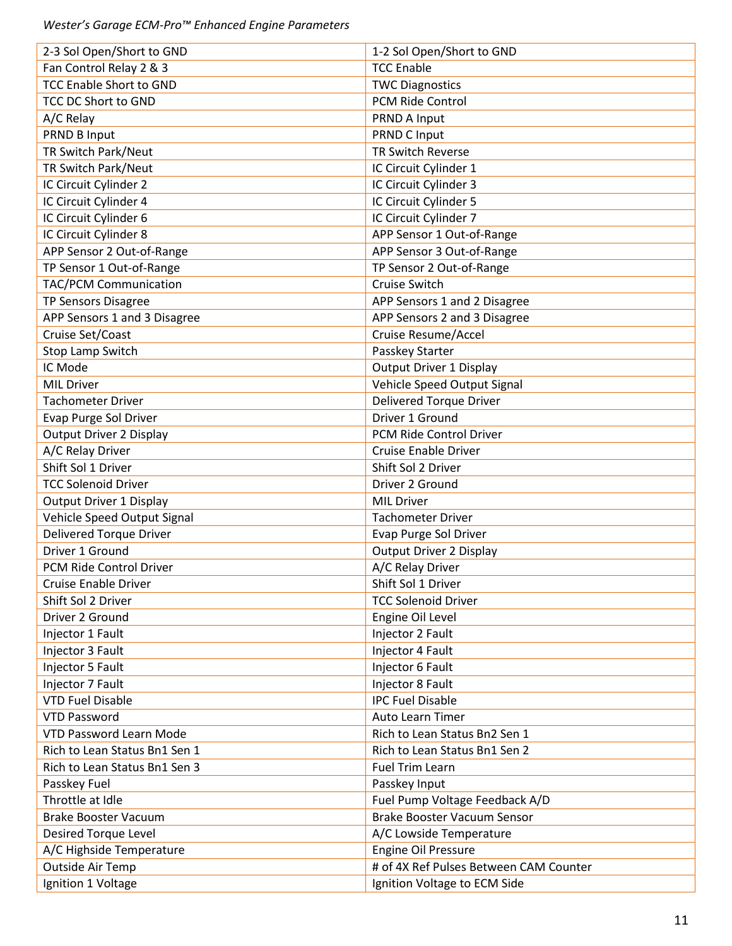| 2-3 Sol Open/Short to GND      | 1-2 Sol Open/Short to GND              |
|--------------------------------|----------------------------------------|
| Fan Control Relay 2 & 3        | <b>TCC Enable</b>                      |
| <b>TCC Enable Short to GND</b> | <b>TWC Diagnostics</b>                 |
| TCC DC Short to GND            | PCM Ride Control                       |
| A/C Relay                      | PRND A Input                           |
| PRND B Input                   | PRND C Input                           |
| TR Switch Park/Neut            | <b>TR Switch Reverse</b>               |
| TR Switch Park/Neut            | IC Circuit Cylinder 1                  |
| IC Circuit Cylinder 2          | IC Circuit Cylinder 3                  |
| IC Circuit Cylinder 4          | IC Circuit Cylinder 5                  |
| IC Circuit Cylinder 6          | IC Circuit Cylinder 7                  |
| IC Circuit Cylinder 8          | APP Sensor 1 Out-of-Range              |
| APP Sensor 2 Out-of-Range      | APP Sensor 3 Out-of-Range              |
| TP Sensor 1 Out-of-Range       | TP Sensor 2 Out-of-Range               |
| <b>TAC/PCM Communication</b>   | <b>Cruise Switch</b>                   |
| <b>TP Sensors Disagree</b>     | APP Sensors 1 and 2 Disagree           |
| APP Sensors 1 and 3 Disagree   | APP Sensors 2 and 3 Disagree           |
| Cruise Set/Coast               | Cruise Resume/Accel                    |
| Stop Lamp Switch               | Passkey Starter                        |
| IC Mode                        | Output Driver 1 Display                |
| <b>MIL Driver</b>              | Vehicle Speed Output Signal            |
| <b>Tachometer Driver</b>       | <b>Delivered Torque Driver</b>         |
| Evap Purge Sol Driver          | Driver 1 Ground                        |
| <b>Output Driver 2 Display</b> | PCM Ride Control Driver                |
| A/C Relay Driver               | <b>Cruise Enable Driver</b>            |
| Shift Sol 1 Driver             | Shift Sol 2 Driver                     |
|                                |                                        |
| <b>TCC Solenoid Driver</b>     | Driver 2 Ground                        |
| Output Driver 1 Display        | <b>MIL Driver</b>                      |
| Vehicle Speed Output Signal    | <b>Tachometer Driver</b>               |
| <b>Delivered Torque Driver</b> | Evap Purge Sol Driver                  |
| Driver 1 Ground                | Output Driver 2 Display                |
| PCM Ride Control Driver        | A/C Relay Driver                       |
| <b>Cruise Enable Driver</b>    | Shift Sol 1 Driver                     |
| Shift Sol 2 Driver             | <b>TCC Solenoid Driver</b>             |
| Driver 2 Ground                | Engine Oil Level                       |
| Injector 1 Fault               | Injector 2 Fault                       |
| Injector 3 Fault               | Injector 4 Fault                       |
| Injector 5 Fault               | Injector 6 Fault                       |
| Injector 7 Fault               | Injector 8 Fault                       |
| <b>VTD Fuel Disable</b>        | <b>IPC Fuel Disable</b>                |
| <b>VTD Password</b>            | <b>Auto Learn Timer</b>                |
| <b>VTD Password Learn Mode</b> | Rich to Lean Status Bn2 Sen 1          |
| Rich to Lean Status Bn1 Sen 1  | Rich to Lean Status Bn1 Sen 2          |
| Rich to Lean Status Bn1 Sen 3  | Fuel Trim Learn                        |
| Passkey Fuel                   | Passkey Input                          |
| Throttle at Idle               | Fuel Pump Voltage Feedback A/D         |
| <b>Brake Booster Vacuum</b>    | Brake Booster Vacuum Sensor            |
| <b>Desired Torque Level</b>    | A/C Lowside Temperature                |
| A/C Highside Temperature       | <b>Engine Oil Pressure</b>             |
| <b>Outside Air Temp</b>        | # of 4X Ref Pulses Between CAM Counter |
| Ignition 1 Voltage             | Ignition Voltage to ECM Side           |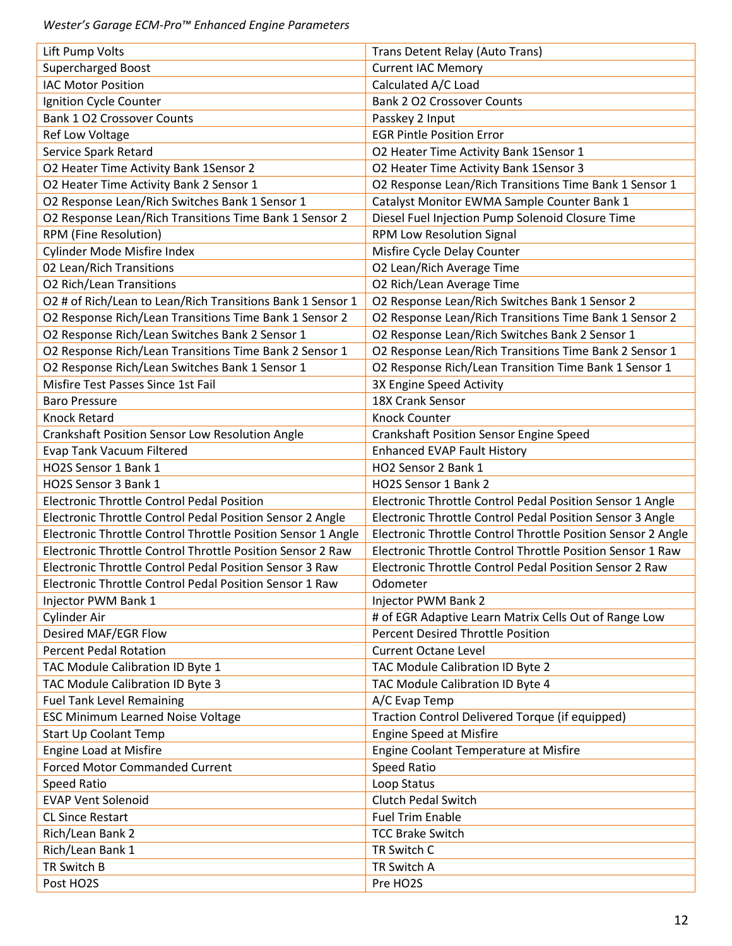| Lift Pump Volts                                              | Trans Detent Relay (Auto Trans)                              |
|--------------------------------------------------------------|--------------------------------------------------------------|
| <b>Supercharged Boost</b>                                    | <b>Current IAC Memory</b>                                    |
| <b>IAC Motor Position</b>                                    | Calculated A/C Load                                          |
| Ignition Cycle Counter                                       | <b>Bank 2 O2 Crossover Counts</b>                            |
| <b>Bank 1 O2 Crossover Counts</b>                            | Passkey 2 Input                                              |
| Ref Low Voltage                                              | <b>EGR Pintle Position Error</b>                             |
| Service Spark Retard                                         | O2 Heater Time Activity Bank 1Sensor 1                       |
| O2 Heater Time Activity Bank 1Sensor 2                       | O2 Heater Time Activity Bank 1Sensor 3                       |
| O2 Heater Time Activity Bank 2 Sensor 1                      | O2 Response Lean/Rich Transitions Time Bank 1 Sensor 1       |
| O2 Response Lean/Rich Switches Bank 1 Sensor 1               | Catalyst Monitor EWMA Sample Counter Bank 1                  |
| O2 Response Lean/Rich Transitions Time Bank 1 Sensor 2       | Diesel Fuel Injection Pump Solenoid Closure Time             |
| RPM (Fine Resolution)                                        | RPM Low Resolution Signal                                    |
| Cylinder Mode Misfire Index                                  | Misfire Cycle Delay Counter                                  |
| 02 Lean/Rich Transitions                                     | O2 Lean/Rich Average Time                                    |
| <b>O2 Rich/Lean Transitions</b>                              | O2 Rich/Lean Average Time                                    |
| O2 # of Rich/Lean to Lean/Rich Transitions Bank 1 Sensor 1   | O2 Response Lean/Rich Switches Bank 1 Sensor 2               |
| O2 Response Rich/Lean Transitions Time Bank 1 Sensor 2       | O2 Response Lean/Rich Transitions Time Bank 1 Sensor 2       |
| O2 Response Rich/Lean Switches Bank 2 Sensor 1               | O2 Response Lean/Rich Switches Bank 2 Sensor 1               |
| O2 Response Rich/Lean Transitions Time Bank 2 Sensor 1       | O2 Response Lean/Rich Transitions Time Bank 2 Sensor 1       |
| O2 Response Rich/Lean Switches Bank 1 Sensor 1               | O2 Response Rich/Lean Transition Time Bank 1 Sensor 1        |
| Misfire Test Passes Since 1st Fail                           | 3X Engine Speed Activity                                     |
| <b>Baro Pressure</b>                                         | 18X Crank Sensor                                             |
| <b>Knock Retard</b>                                          | <b>Knock Counter</b>                                         |
|                                                              |                                                              |
| Crankshaft Position Sensor Low Resolution Angle              | <b>Crankshaft Position Sensor Engine Speed</b>               |
| <b>Evap Tank Vacuum Filtered</b><br>HO2S Sensor 1 Bank 1     | <b>Enhanced EVAP Fault History</b><br>HO2 Sensor 2 Bank 1    |
|                                                              |                                                              |
| HO2S Sensor 3 Bank 1                                         | HO2S Sensor 1 Bank 2                                         |
| <b>Electronic Throttle Control Pedal Position</b>            | Electronic Throttle Control Pedal Position Sensor 1 Angle    |
| Electronic Throttle Control Pedal Position Sensor 2 Angle    | Electronic Throttle Control Pedal Position Sensor 3 Angle    |
| Electronic Throttle Control Throttle Position Sensor 1 Angle | Electronic Throttle Control Throttle Position Sensor 2 Angle |
| Electronic Throttle Control Throttle Position Sensor 2 Raw   | Electronic Throttle Control Throttle Position Sensor 1 Raw   |
| Electronic Throttle Control Pedal Position Sensor 3 Raw      | Electronic Throttle Control Pedal Position Sensor 2 Raw      |
| Electronic Throttle Control Pedal Position Sensor 1 Raw      | Odometer                                                     |
| Injector PWM Bank 1                                          | Injector PWM Bank 2                                          |
| Cylinder Air                                                 | # of EGR Adaptive Learn Matrix Cells Out of Range Low        |
| Desired MAF/EGR Flow                                         | <b>Percent Desired Throttle Position</b>                     |
| <b>Percent Pedal Rotation</b>                                | <b>Current Octane Level</b>                                  |
| TAC Module Calibration ID Byte 1                             | TAC Module Calibration ID Byte 2                             |
| TAC Module Calibration ID Byte 3                             | TAC Module Calibration ID Byte 4                             |
| <b>Fuel Tank Level Remaining</b>                             | A/C Evap Temp                                                |
| <b>ESC Minimum Learned Noise Voltage</b>                     | Traction Control Delivered Torque (if equipped)              |
| <b>Start Up Coolant Temp</b>                                 | <b>Engine Speed at Misfire</b>                               |
| Engine Load at Misfire                                       | Engine Coolant Temperature at Misfire                        |
| <b>Forced Motor Commanded Current</b>                        | Speed Ratio                                                  |
| Speed Ratio                                                  | Loop Status                                                  |
| <b>EVAP Vent Solenoid</b>                                    | <b>Clutch Pedal Switch</b>                                   |
| <b>CL Since Restart</b>                                      | <b>Fuel Trim Enable</b>                                      |
| Rich/Lean Bank 2                                             | <b>TCC Brake Switch</b>                                      |
| Rich/Lean Bank 1                                             | TR Switch C                                                  |
| TR Switch B                                                  | TR Switch A                                                  |
| Post HO2S                                                    | Pre HO2S                                                     |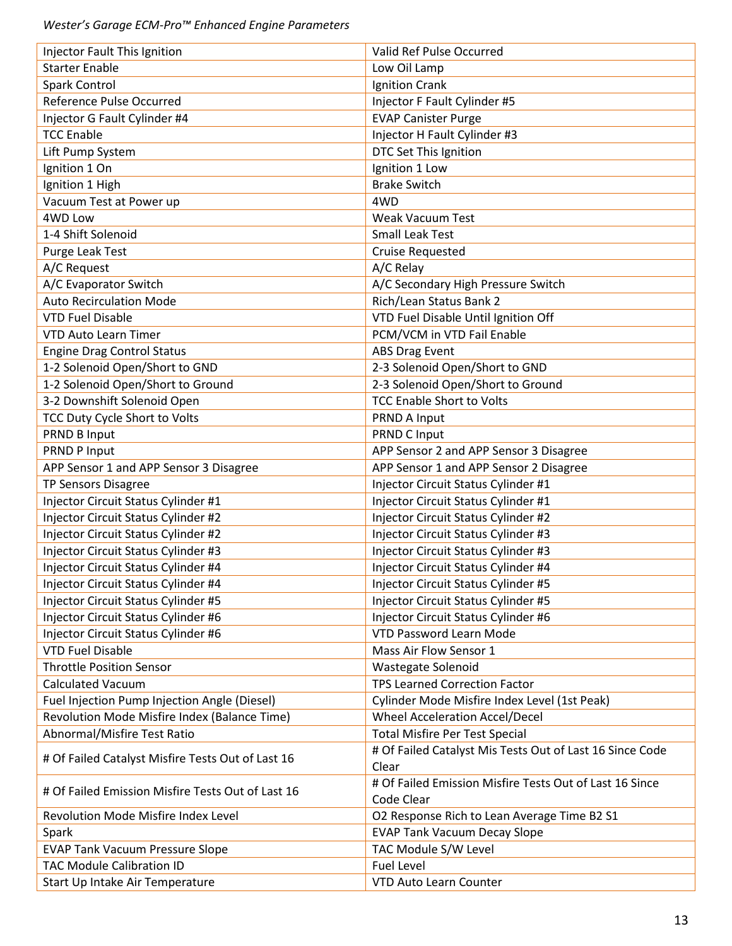| Injector Fault This Ignition                      | Valid Ref Pulse Occurred                                 |
|---------------------------------------------------|----------------------------------------------------------|
| <b>Starter Enable</b>                             | Low Oil Lamp                                             |
| <b>Spark Control</b>                              | Ignition Crank                                           |
| Reference Pulse Occurred                          | Injector F Fault Cylinder #5                             |
| Injector G Fault Cylinder #4                      | <b>EVAP Canister Purge</b>                               |
| <b>TCC Enable</b>                                 | Injector H Fault Cylinder #3                             |
| Lift Pump System                                  | DTC Set This Ignition                                    |
| Ignition 1 On                                     | Ignition 1 Low                                           |
| Ignition 1 High                                   | <b>Brake Switch</b>                                      |
| Vacuum Test at Power up                           | 4WD                                                      |
| 4WD Low                                           | <b>Weak Vacuum Test</b>                                  |
| 1-4 Shift Solenoid                                | <b>Small Leak Test</b>                                   |
| Purge Leak Test                                   | <b>Cruise Requested</b>                                  |
| A/C Request                                       | A/C Relay                                                |
| A/C Evaporator Switch                             | A/C Secondary High Pressure Switch                       |
| <b>Auto Recirculation Mode</b>                    | Rich/Lean Status Bank 2                                  |
| <b>VTD Fuel Disable</b>                           | VTD Fuel Disable Until Ignition Off                      |
| <b>VTD Auto Learn Timer</b>                       | PCM/VCM in VTD Fail Enable                               |
| <b>Engine Drag Control Status</b>                 | <b>ABS Drag Event</b>                                    |
| 1-2 Solenoid Open/Short to GND                    | 2-3 Solenoid Open/Short to GND                           |
| 1-2 Solenoid Open/Short to Ground                 | 2-3 Solenoid Open/Short to Ground                        |
| 3-2 Downshift Solenoid Open                       | <b>TCC Enable Short to Volts</b>                         |
| TCC Duty Cycle Short to Volts                     | PRND A Input                                             |
| PRND B Input                                      | PRND C Input                                             |
| PRND P Input                                      | APP Sensor 2 and APP Sensor 3 Disagree                   |
| APP Sensor 1 and APP Sensor 3 Disagree            | APP Sensor 1 and APP Sensor 2 Disagree                   |
| <b>TP Sensors Disagree</b>                        | Injector Circuit Status Cylinder #1                      |
| Injector Circuit Status Cylinder #1               | Injector Circuit Status Cylinder #1                      |
| Injector Circuit Status Cylinder #2               | Injector Circuit Status Cylinder #2                      |
| Injector Circuit Status Cylinder #2               | Injector Circuit Status Cylinder #3                      |
| Injector Circuit Status Cylinder #3               | Injector Circuit Status Cylinder #3                      |
| Injector Circuit Status Cylinder #4               | Injector Circuit Status Cylinder #4                      |
| Injector Circuit Status Cylinder #4               | Injector Circuit Status Cylinder #5                      |
| Injector Circuit Status Cylinder #5               | Injector Circuit Status Cylinder #5                      |
| Injector Circuit Status Cylinder #6               | Injector Circuit Status Cylinder #6                      |
| Injector Circuit Status Cylinder #6               | <b>VTD Password Learn Mode</b>                           |
| <b>VTD Fuel Disable</b>                           | Mass Air Flow Sensor 1                                   |
| <b>Throttle Position Sensor</b>                   | Wastegate Solenoid                                       |
| Calculated Vacuum                                 | <b>TPS Learned Correction Factor</b>                     |
| Fuel Injection Pump Injection Angle (Diesel)      | Cylinder Mode Misfire Index Level (1st Peak)             |
| Revolution Mode Misfire Index (Balance Time)      | <b>Wheel Acceleration Accel/Decel</b>                    |
| Abnormal/Misfire Test Ratio                       | <b>Total Misfire Per Test Special</b>                    |
|                                                   | # Of Failed Catalyst Mis Tests Out of Last 16 Since Code |
| # Of Failed Catalyst Misfire Tests Out of Last 16 | Clear                                                    |
|                                                   | # Of Failed Emission Misfire Tests Out of Last 16 Since  |
| # Of Failed Emission Misfire Tests Out of Last 16 | Code Clear                                               |
| Revolution Mode Misfire Index Level               | O2 Response Rich to Lean Average Time B2 S1              |
| Spark                                             | <b>EVAP Tank Vacuum Decay Slope</b>                      |
| <b>EVAP Tank Vacuum Pressure Slope</b>            | TAC Module S/W Level                                     |
| <b>TAC Module Calibration ID</b>                  | <b>Fuel Level</b>                                        |
| Start Up Intake Air Temperature                   | VTD Auto Learn Counter                                   |
|                                                   |                                                          |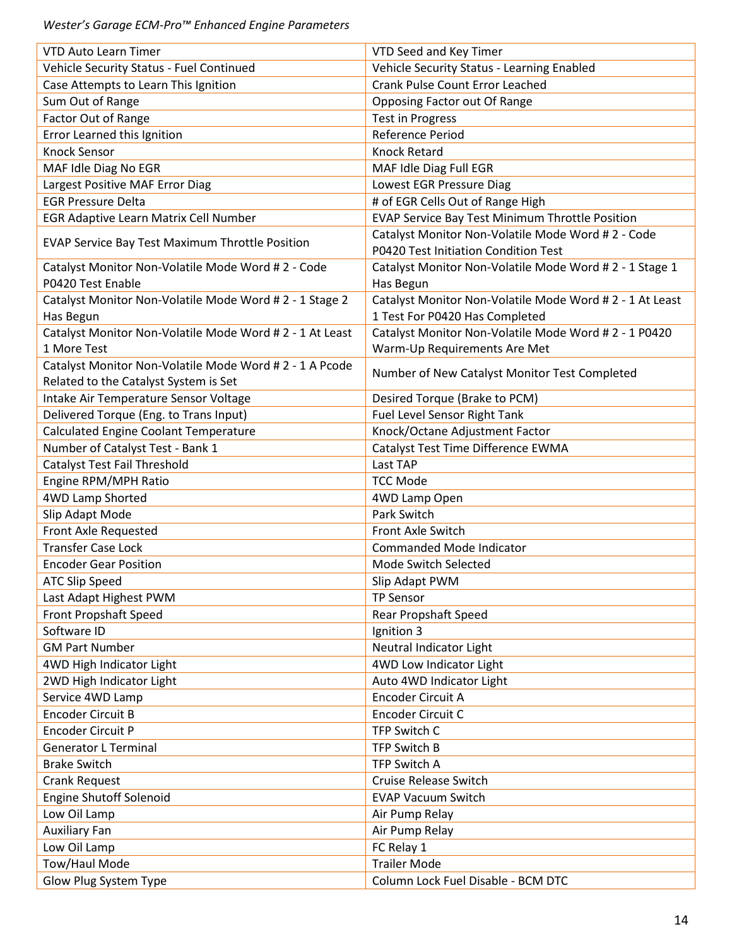| <b>VTD Auto Learn Timer</b>                              | VTD Seed and Key Timer                                   |
|----------------------------------------------------------|----------------------------------------------------------|
| Vehicle Security Status - Fuel Continued                 | Vehicle Security Status - Learning Enabled               |
| Case Attempts to Learn This Ignition                     | <b>Crank Pulse Count Error Leached</b>                   |
| Sum Out of Range                                         | Opposing Factor out Of Range                             |
| Factor Out of Range                                      | <b>Test in Progress</b>                                  |
| Error Learned this Ignition                              | Reference Period                                         |
| <b>Knock Sensor</b>                                      | <b>Knock Retard</b>                                      |
| MAF Idle Diag No EGR                                     | MAF Idle Diag Full EGR                                   |
| Largest Positive MAF Error Diag                          | Lowest EGR Pressure Diag                                 |
| <b>EGR Pressure Delta</b>                                | # of EGR Cells Out of Range High                         |
| EGR Adaptive Learn Matrix Cell Number                    | <b>EVAP Service Bay Test Minimum Throttle Position</b>   |
|                                                          | Catalyst Monitor Non-Volatile Mode Word #2 - Code        |
| <b>EVAP Service Bay Test Maximum Throttle Position</b>   | P0420 Test Initiation Condition Test                     |
| Catalyst Monitor Non-Volatile Mode Word # 2 - Code       | Catalyst Monitor Non-Volatile Mode Word #2 - 1 Stage 1   |
| P0420 Test Enable                                        | Has Begun                                                |
| Catalyst Monitor Non-Volatile Mode Word # 2 - 1 Stage 2  | Catalyst Monitor Non-Volatile Mode Word # 2 - 1 At Least |
| Has Begun                                                | 1 Test For P0420 Has Completed                           |
| Catalyst Monitor Non-Volatile Mode Word # 2 - 1 At Least | Catalyst Monitor Non-Volatile Mode Word #2 - 1 P0420     |
| 1 More Test                                              | Warm-Up Requirements Are Met                             |
| Catalyst Monitor Non-Volatile Mode Word # 2 - 1 A Pcode  |                                                          |
| Related to the Catalyst System is Set                    | Number of New Catalyst Monitor Test Completed            |
| Intake Air Temperature Sensor Voltage                    | Desired Torque (Brake to PCM)                            |
| Delivered Torque (Eng. to Trans Input)                   | Fuel Level Sensor Right Tank                             |
| Calculated Engine Coolant Temperature                    | Knock/Octane Adjustment Factor                           |
| Number of Catalyst Test - Bank 1                         | Catalyst Test Time Difference EWMA                       |
| Catalyst Test Fail Threshold                             | Last TAP                                                 |
| Engine RPM/MPH Ratio                                     | <b>TCC Mode</b>                                          |
| 4WD Lamp Shorted                                         | 4WD Lamp Open                                            |
| Slip Adapt Mode                                          | Park Switch                                              |
| Front Axle Requested                                     | Front Axle Switch                                        |
| <b>Transfer Case Lock</b>                                | Commanded Mode Indicator                                 |
| <b>Encoder Gear Position</b>                             | Mode Switch Selected                                     |
| <b>ATC Slip Speed</b>                                    | Slip Adapt PWM                                           |
| Last Adapt Highest PWM                                   | <b>TP Sensor</b>                                         |
| Front Propshaft Speed                                    | Rear Propshaft Speed                                     |
| Software ID                                              | Ignition 3                                               |
| <b>GM Part Number</b>                                    | Neutral Indicator Light                                  |
| 4WD High Indicator Light                                 | 4WD Low Indicator Light                                  |
| 2WD High Indicator Light                                 | Auto 4WD Indicator Light                                 |
| Service 4WD Lamp                                         | Encoder Circuit A                                        |
| <b>Encoder Circuit B</b>                                 | Encoder Circuit C                                        |
| <b>Encoder Circuit P</b>                                 | TFP Switch C                                             |
| <b>Generator L Terminal</b>                              | TFP Switch B                                             |
| <b>Brake Switch</b>                                      | <b>TFP Switch A</b>                                      |
| <b>Crank Request</b>                                     | <b>Cruise Release Switch</b>                             |
| <b>Engine Shutoff Solenoid</b>                           | <b>EVAP Vacuum Switch</b>                                |
| Low Oil Lamp                                             | Air Pump Relay                                           |
| <b>Auxiliary Fan</b>                                     | Air Pump Relay                                           |
| Low Oil Lamp                                             | FC Relay 1                                               |
| Tow/Haul Mode                                            | <b>Trailer Mode</b>                                      |
| Glow Plug System Type                                    | Column Lock Fuel Disable - BCM DTC                       |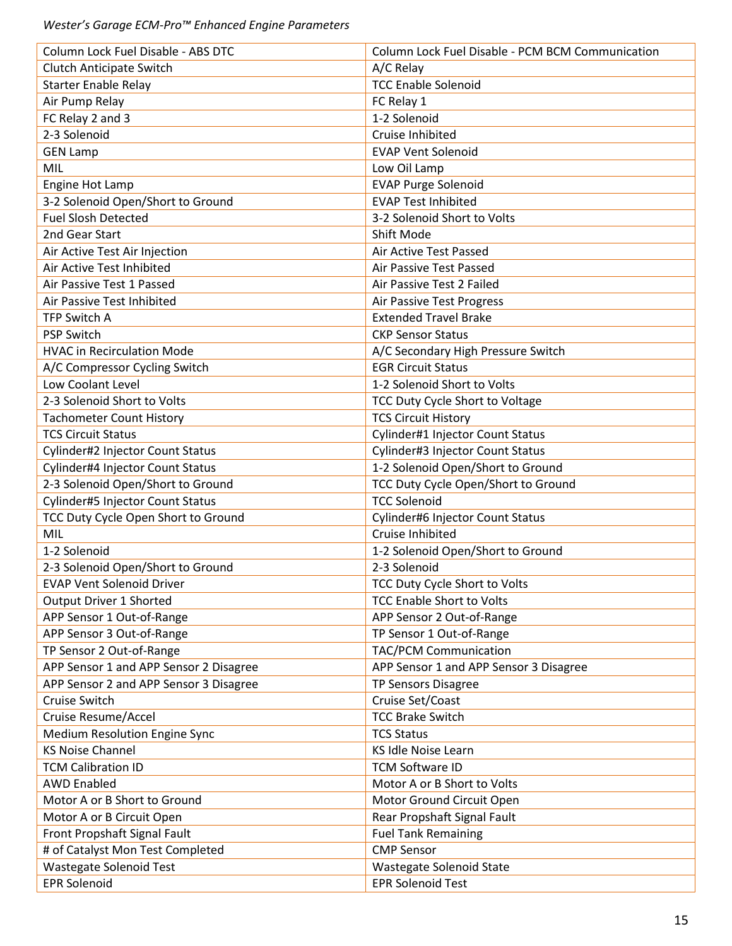| Column Lock Fuel Disable - ABS DTC     | Column Lock Fuel Disable - PCM BCM Communication |
|----------------------------------------|--------------------------------------------------|
| <b>Clutch Anticipate Switch</b>        | A/C Relay                                        |
| <b>Starter Enable Relay</b>            | <b>TCC Enable Solenoid</b>                       |
| Air Pump Relay                         | FC Relay 1                                       |
| FC Relay 2 and 3                       | 1-2 Solenoid                                     |
| 2-3 Solenoid                           | Cruise Inhibited                                 |
| <b>GEN Lamp</b>                        | <b>EVAP Vent Solenoid</b>                        |
| MIL                                    | Low Oil Lamp                                     |
| Engine Hot Lamp                        | <b>EVAP Purge Solenoid</b>                       |
| 3-2 Solenoid Open/Short to Ground      | <b>EVAP Test Inhibited</b>                       |
| <b>Fuel Slosh Detected</b>             | 3-2 Solenoid Short to Volts                      |
| 2nd Gear Start                         | Shift Mode                                       |
| Air Active Test Air Injection          | Air Active Test Passed                           |
| Air Active Test Inhibited              | Air Passive Test Passed                          |
| Air Passive Test 1 Passed              | Air Passive Test 2 Failed                        |
| Air Passive Test Inhibited             | Air Passive Test Progress                        |
| <b>TFP Switch A</b>                    | <b>Extended Travel Brake</b>                     |
| <b>PSP Switch</b>                      | <b>CKP Sensor Status</b>                         |
| <b>HVAC in Recirculation Mode</b>      | A/C Secondary High Pressure Switch               |
| A/C Compressor Cycling Switch          | <b>EGR Circuit Status</b>                        |
| Low Coolant Level                      | 1-2 Solenoid Short to Volts                      |
| 2-3 Solenoid Short to Volts            | TCC Duty Cycle Short to Voltage                  |
| <b>Tachometer Count History</b>        | <b>TCS Circuit History</b>                       |
| <b>TCS Circuit Status</b>              | Cylinder#1 Injector Count Status                 |
| Cylinder#2 Injector Count Status       | Cylinder#3 Injector Count Status                 |
| Cylinder#4 Injector Count Status       | 1-2 Solenoid Open/Short to Ground                |
| 2-3 Solenoid Open/Short to Ground      | TCC Duty Cycle Open/Short to Ground              |
| Cylinder#5 Injector Count Status       | <b>TCC Solenoid</b>                              |
| TCC Duty Cycle Open Short to Ground    | Cylinder#6 Injector Count Status                 |
| MIL                                    | Cruise Inhibited                                 |
| 1-2 Solenoid                           | 1-2 Solenoid Open/Short to Ground                |
| 2-3 Solenoid Open/Short to Ground      | 2-3 Solenoid                                     |
| <b>EVAP Vent Solenoid Driver</b>       | TCC Duty Cycle Short to Volts                    |
| Output Driver 1 Shorted                | <b>TCC Enable Short to Volts</b>                 |
| APP Sensor 1 Out-of-Range              | APP Sensor 2 Out-of-Range                        |
| APP Sensor 3 Out-of-Range              | TP Sensor 1 Out-of-Range                         |
| TP Sensor 2 Out-of-Range               | <b>TAC/PCM Communication</b>                     |
| APP Sensor 1 and APP Sensor 2 Disagree | APP Sensor 1 and APP Sensor 3 Disagree           |
| APP Sensor 2 and APP Sensor 3 Disagree | <b>TP Sensors Disagree</b>                       |
| Cruise Switch                          | Cruise Set/Coast                                 |
| Cruise Resume/Accel                    | <b>TCC Brake Switch</b>                          |
| <b>Medium Resolution Engine Sync</b>   | <b>TCS Status</b>                                |
| <b>KS Noise Channel</b>                | KS Idle Noise Learn                              |
| <b>TCM Calibration ID</b>              | <b>TCM Software ID</b>                           |
| <b>AWD Enabled</b>                     | Motor A or B Short to Volts                      |
| Motor A or B Short to Ground           | Motor Ground Circuit Open                        |
| Motor A or B Circuit Open              | Rear Propshaft Signal Fault                      |
| Front Propshaft Signal Fault           | <b>Fuel Tank Remaining</b>                       |
| # of Catalyst Mon Test Completed       | <b>CMP Sensor</b>                                |
| Wastegate Solenoid Test                | Wastegate Solenoid State                         |
| <b>EPR Solenoid</b>                    | <b>EPR Solenoid Test</b>                         |
|                                        |                                                  |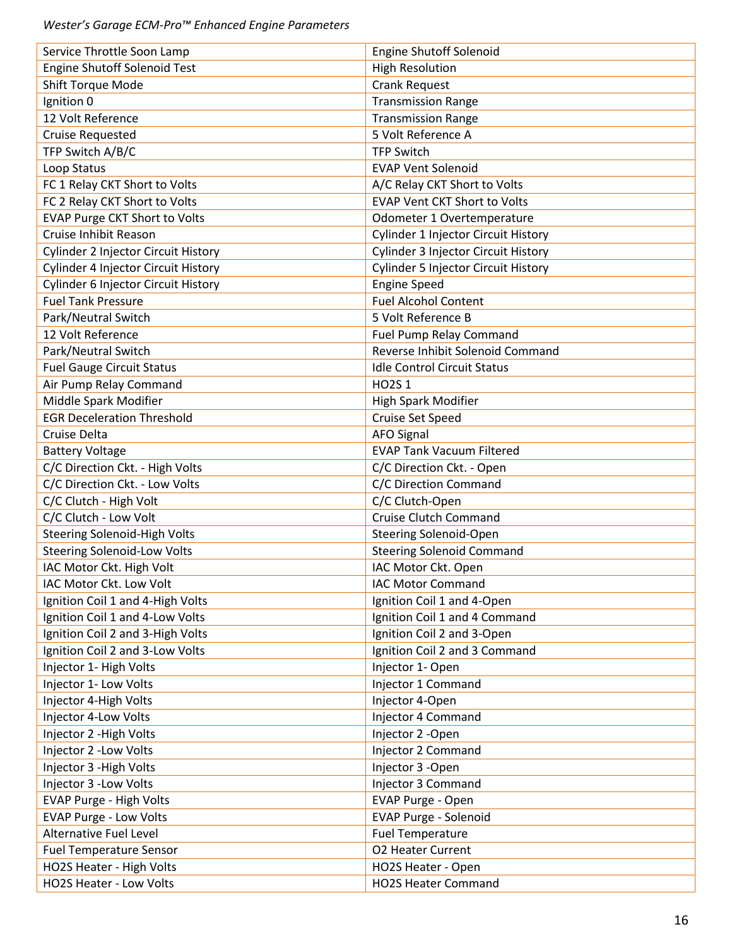| Service Throttle Soon Lamp                                     | <b>Engine Shutoff Solenoid</b>                          |
|----------------------------------------------------------------|---------------------------------------------------------|
| <b>Engine Shutoff Solenoid Test</b>                            | <b>High Resolution</b>                                  |
| <b>Shift Torque Mode</b>                                       | <b>Crank Request</b>                                    |
| Ignition 0                                                     | <b>Transmission Range</b>                               |
| 12 Volt Reference                                              | <b>Transmission Range</b>                               |
| <b>Cruise Requested</b>                                        | 5 Volt Reference A                                      |
| TFP Switch A/B/C                                               | <b>TFP Switch</b>                                       |
| Loop Status                                                    | <b>EVAP Vent Solenoid</b>                               |
| FC 1 Relay CKT Short to Volts                                  | A/C Relay CKT Short to Volts                            |
| FC 2 Relay CKT Short to Volts                                  | <b>EVAP Vent CKT Short to Volts</b>                     |
| <b>EVAP Purge CKT Short to Volts</b>                           | Odometer 1 Overtemperature                              |
| Cruise Inhibit Reason                                          | Cylinder 1 Injector Circuit History                     |
| Cylinder 2 Injector Circuit History                            | Cylinder 3 Injector Circuit History                     |
| Cylinder 4 Injector Circuit History                            | <b>Cylinder 5 Injector Circuit History</b>              |
| <b>Cylinder 6 Injector Circuit History</b>                     | <b>Engine Speed</b>                                     |
| <b>Fuel Tank Pressure</b>                                      | <b>Fuel Alcohol Content</b>                             |
| Park/Neutral Switch                                            | 5 Volt Reference B                                      |
| 12 Volt Reference                                              | Fuel Pump Relay Command                                 |
| Park/Neutral Switch                                            | Reverse Inhibit Solenoid Command                        |
| <b>Fuel Gauge Circuit Status</b>                               | <b>Idle Control Circuit Status</b>                      |
| Air Pump Relay Command                                         | HO2S 1                                                  |
| Middle Spark Modifier                                          | <b>High Spark Modifier</b>                              |
| <b>EGR Deceleration Threshold</b>                              | Cruise Set Speed                                        |
| Cruise Delta                                                   | <b>AFO Signal</b>                                       |
| <b>Battery Voltage</b>                                         | <b>EVAP Tank Vacuum Filtered</b>                        |
| C/C Direction Ckt. - High Volts                                | C/C Direction Ckt. - Open                               |
| C/C Direction Ckt. - Low Volts                                 | C/C Direction Command                                   |
| C/C Clutch - High Volt                                         | C/C Clutch-Open                                         |
| C/C Clutch - Low Volt                                          | <b>Cruise Clutch Command</b>                            |
| <b>Steering Solenoid-High Volts</b>                            | <b>Steering Solenoid-Open</b>                           |
|                                                                |                                                         |
| <b>Steering Solenoid-Low Volts</b><br>IAC Motor Ckt. High Volt | <b>Steering Solenoid Command</b><br>IAC Motor Ckt. Open |
|                                                                |                                                         |
| IAC Motor Ckt. Low Volt                                        | <b>IAC Motor Command</b>                                |
| Ignition Coil 1 and 4-High Volts                               | Ignition Coil 1 and 4-Open                              |
| Ignition Coil 1 and 4-Low Volts                                | Ignition Coil 1 and 4 Command                           |
| Ignition Coil 2 and 3-High Volts                               | Ignition Coil 2 and 3-Open                              |
| Ignition Coil 2 and 3-Low Volts                                | Ignition Coil 2 and 3 Command                           |
| Injector 1- High Volts                                         | Injector 1- Open                                        |
| Injector 1- Low Volts                                          | Injector 1 Command                                      |
| Injector 4-High Volts                                          | Injector 4-Open                                         |
| Injector 4-Low Volts                                           | Injector 4 Command                                      |
| Injector 2 - High Volts                                        | Injector 2 - Open                                       |
| Injector 2 - Low Volts                                         | Injector 2 Command                                      |
| Injector 3 - High Volts                                        | Injector 3 - Open                                       |
| Injector 3 - Low Volts                                         | Injector 3 Command                                      |
| EVAP Purge - High Volts                                        | EVAP Purge - Open                                       |
| <b>EVAP Purge - Low Volts</b>                                  | EVAP Purge - Solenoid                                   |
| <b>Alternative Fuel Level</b>                                  | <b>Fuel Temperature</b>                                 |
| <b>Fuel Temperature Sensor</b>                                 | <b>O2 Heater Current</b>                                |
| HO2S Heater - High Volts                                       | HO2S Heater - Open                                      |
| HO2S Heater - Low Volts                                        | <b>HO2S Heater Command</b>                              |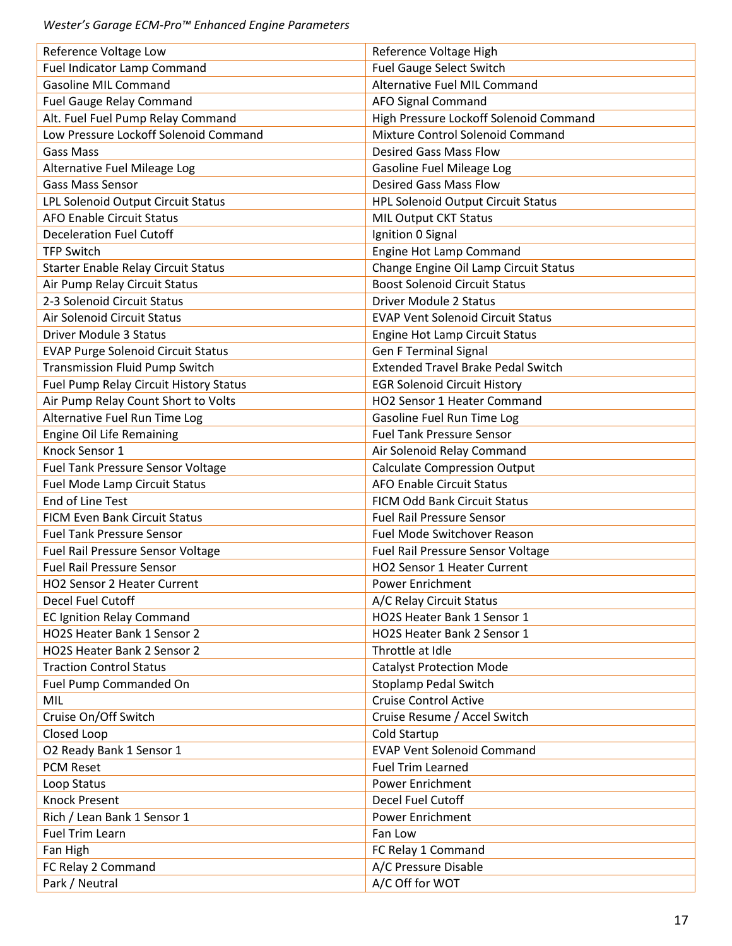| Reference Voltage Low                      | Reference Voltage High                    |
|--------------------------------------------|-------------------------------------------|
| Fuel Indicator Lamp Command                | Fuel Gauge Select Switch                  |
| <b>Gasoline MIL Command</b>                | Alternative Fuel MIL Command              |
| <b>Fuel Gauge Relay Command</b>            | <b>AFO Signal Command</b>                 |
| Alt. Fuel Fuel Pump Relay Command          | High Pressure Lockoff Solenoid Command    |
| Low Pressure Lockoff Solenoid Command      | Mixture Control Solenoid Command          |
| <b>Gass Mass</b>                           | <b>Desired Gass Mass Flow</b>             |
| Alternative Fuel Mileage Log               | <b>Gasoline Fuel Mileage Log</b>          |
| <b>Gass Mass Sensor</b>                    | <b>Desired Gass Mass Flow</b>             |
| LPL Solenoid Output Circuit Status         | <b>HPL Solenoid Output Circuit Status</b> |
| <b>AFO Enable Circuit Status</b>           | <b>MIL Output CKT Status</b>              |
| <b>Deceleration Fuel Cutoff</b>            | Ignition 0 Signal                         |
| <b>TFP Switch</b>                          | Engine Hot Lamp Command                   |
| <b>Starter Enable Relay Circuit Status</b> | Change Engine Oil Lamp Circuit Status     |
| Air Pump Relay Circuit Status              | <b>Boost Solenoid Circuit Status</b>      |
| 2-3 Solenoid Circuit Status                | <b>Driver Module 2 Status</b>             |
| Air Solenoid Circuit Status                | <b>EVAP Vent Solenoid Circuit Status</b>  |
| <b>Driver Module 3 Status</b>              | <b>Engine Hot Lamp Circuit Status</b>     |
| <b>EVAP Purge Solenoid Circuit Status</b>  | <b>Gen F Terminal Signal</b>              |
| <b>Transmission Fluid Pump Switch</b>      | <b>Extended Travel Brake Pedal Switch</b> |
| Fuel Pump Relay Circuit History Status     | <b>EGR Solenoid Circuit History</b>       |
| Air Pump Relay Count Short to Volts        | HO2 Sensor 1 Heater Command               |
| Alternative Fuel Run Time Log              | Gasoline Fuel Run Time Log                |
| <b>Engine Oil Life Remaining</b>           | <b>Fuel Tank Pressure Sensor</b>          |
| Knock Sensor 1                             | Air Solenoid Relay Command                |
| Fuel Tank Pressure Sensor Voltage          | <b>Calculate Compression Output</b>       |
| <b>Fuel Mode Lamp Circuit Status</b>       | <b>AFO Enable Circuit Status</b>          |
| End of Line Test                           | FICM Odd Bank Circuit Status              |
| <b>FICM Even Bank Circuit Status</b>       | <b>Fuel Rail Pressure Sensor</b>          |
| <b>Fuel Tank Pressure Sensor</b>           | Fuel Mode Switchover Reason               |
| Fuel Rail Pressure Sensor Voltage          | Fuel Rail Pressure Sensor Voltage         |
| <b>Fuel Rail Pressure Sensor</b>           | <b>HO2 Sensor 1 Heater Current</b>        |
| HO2 Sensor 2 Heater Current                | <b>Power Enrichment</b>                   |
| Decel Fuel Cutoff                          | A/C Relay Circuit Status                  |
| <b>EC Ignition Relay Command</b>           | HO2S Heater Bank 1 Sensor 1               |
| HO2S Heater Bank 1 Sensor 2                | HO2S Heater Bank 2 Sensor 1               |
| HO2S Heater Bank 2 Sensor 2                | Throttle at Idle                          |
| <b>Traction Control Status</b>             | <b>Catalyst Protection Mode</b>           |
| Fuel Pump Commanded On                     | <b>Stoplamp Pedal Switch</b>              |
| MIL                                        | <b>Cruise Control Active</b>              |
| Cruise On/Off Switch                       | Cruise Resume / Accel Switch              |
| Closed Loop                                | Cold Startup                              |
| O2 Ready Bank 1 Sensor 1                   | <b>EVAP Vent Solenoid Command</b>         |
| <b>PCM Reset</b>                           | <b>Fuel Trim Learned</b>                  |
| Loop Status                                | <b>Power Enrichment</b>                   |
| <b>Knock Present</b>                       | Decel Fuel Cutoff                         |
| Rich / Lean Bank 1 Sensor 1                | <b>Power Enrichment</b>                   |
| <b>Fuel Trim Learn</b>                     | Fan Low                                   |
| Fan High                                   | FC Relay 1 Command                        |
| FC Relay 2 Command                         | A/C Pressure Disable                      |
| Park / Neutral                             | A/C Off for WOT                           |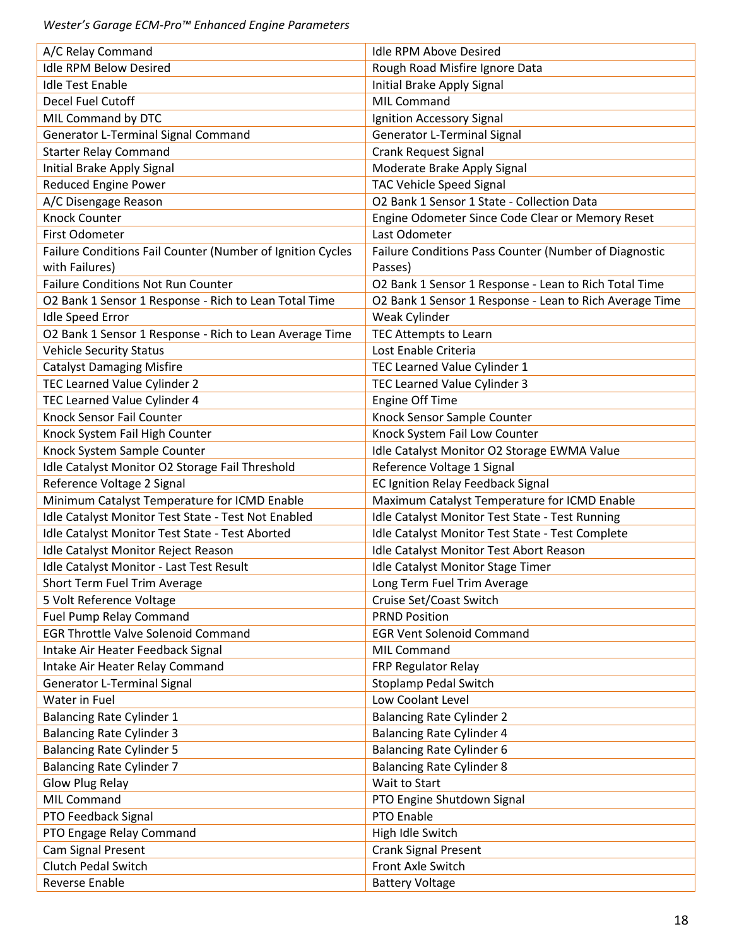| A/C Relay Command                                          | <b>Idle RPM Above Desired</b>                                                 |
|------------------------------------------------------------|-------------------------------------------------------------------------------|
| <b>Idle RPM Below Desired</b>                              | Rough Road Misfire Ignore Data                                                |
| <b>Idle Test Enable</b>                                    | Initial Brake Apply Signal                                                    |
| Decel Fuel Cutoff                                          | MIL Command                                                                   |
| MIL Command by DTC                                         | Ignition Accessory Signal                                                     |
| Generator L-Terminal Signal Command                        | <b>Generator L-Terminal Signal</b>                                            |
| <b>Starter Relay Command</b>                               | <b>Crank Request Signal</b>                                                   |
|                                                            |                                                                               |
| Initial Brake Apply Signal                                 | Moderate Brake Apply Signal                                                   |
| <b>Reduced Engine Power</b>                                | <b>TAC Vehicle Speed Signal</b><br>O2 Bank 1 Sensor 1 State - Collection Data |
| A/C Disengage Reason<br><b>Knock Counter</b>               |                                                                               |
|                                                            | Engine Odometer Since Code Clear or Memory Reset                              |
| First Odometer                                             | Last Odometer                                                                 |
| Failure Conditions Fail Counter (Number of Ignition Cycles | Failure Conditions Pass Counter (Number of Diagnostic                         |
| with Failures)                                             | Passes)                                                                       |
| <b>Failure Conditions Not Run Counter</b>                  | O2 Bank 1 Sensor 1 Response - Lean to Rich Total Time                         |
| O2 Bank 1 Sensor 1 Response - Rich to Lean Total Time      | O2 Bank 1 Sensor 1 Response - Lean to Rich Average Time                       |
| <b>Idle Speed Error</b>                                    | Weak Cylinder                                                                 |
| O2 Bank 1 Sensor 1 Response - Rich to Lean Average Time    | TEC Attempts to Learn                                                         |
| <b>Vehicle Security Status</b>                             | Lost Enable Criteria                                                          |
| <b>Catalyst Damaging Misfire</b>                           | TEC Learned Value Cylinder 1                                                  |
| TEC Learned Value Cylinder 2                               | TEC Learned Value Cylinder 3                                                  |
| TEC Learned Value Cylinder 4                               | <b>Engine Off Time</b>                                                        |
| Knock Sensor Fail Counter                                  | Knock Sensor Sample Counter                                                   |
| Knock System Fail High Counter                             | Knock System Fail Low Counter                                                 |
| Knock System Sample Counter                                | Idle Catalyst Monitor O2 Storage EWMA Value                                   |
| Idle Catalyst Monitor O2 Storage Fail Threshold            | Reference Voltage 1 Signal                                                    |
| Reference Voltage 2 Signal                                 | <b>EC Ignition Relay Feedback Signal</b>                                      |
| Minimum Catalyst Temperature for ICMD Enable               | Maximum Catalyst Temperature for ICMD Enable                                  |
| Idle Catalyst Monitor Test State - Test Not Enabled        | Idle Catalyst Monitor Test State - Test Running                               |
| Idle Catalyst Monitor Test State - Test Aborted            | Idle Catalyst Monitor Test State - Test Complete                              |
| Idle Catalyst Monitor Reject Reason                        | Idle Catalyst Monitor Test Abort Reason                                       |
| Idle Catalyst Monitor - Last Test Result                   | Idle Catalyst Monitor Stage Timer                                             |
| Short Term Fuel Trim Average                               | Long Term Fuel Trim Average                                                   |
| 5 Volt Reference Voltage                                   | Cruise Set/Coast Switch                                                       |
| Fuel Pump Relay Command                                    | <b>PRND Position</b>                                                          |
| <b>EGR Throttle Valve Solenoid Command</b>                 | <b>EGR Vent Solenoid Command</b>                                              |
| Intake Air Heater Feedback Signal                          | <b>MIL Command</b>                                                            |
| Intake Air Heater Relay Command                            | FRP Regulator Relay                                                           |
| <b>Generator L-Terminal Signal</b>                         | <b>Stoplamp Pedal Switch</b>                                                  |
| Water in Fuel                                              | Low Coolant Level                                                             |
| <b>Balancing Rate Cylinder 1</b>                           | <b>Balancing Rate Cylinder 2</b>                                              |
| <b>Balancing Rate Cylinder 3</b>                           | <b>Balancing Rate Cylinder 4</b>                                              |
|                                                            |                                                                               |
| <b>Balancing Rate Cylinder 5</b>                           | <b>Balancing Rate Cylinder 6</b>                                              |
| <b>Balancing Rate Cylinder 7</b>                           | <b>Balancing Rate Cylinder 8</b>                                              |
| <b>Glow Plug Relay</b>                                     | Wait to Start                                                                 |
| MIL Command                                                | PTO Engine Shutdown Signal                                                    |
| PTO Feedback Signal                                        | PTO Enable                                                                    |
| PTO Engage Relay Command                                   | High Idle Switch                                                              |
| Cam Signal Present                                         | <b>Crank Signal Present</b>                                                   |
| <b>Clutch Pedal Switch</b>                                 | Front Axle Switch                                                             |
| Reverse Enable                                             | <b>Battery Voltage</b>                                                        |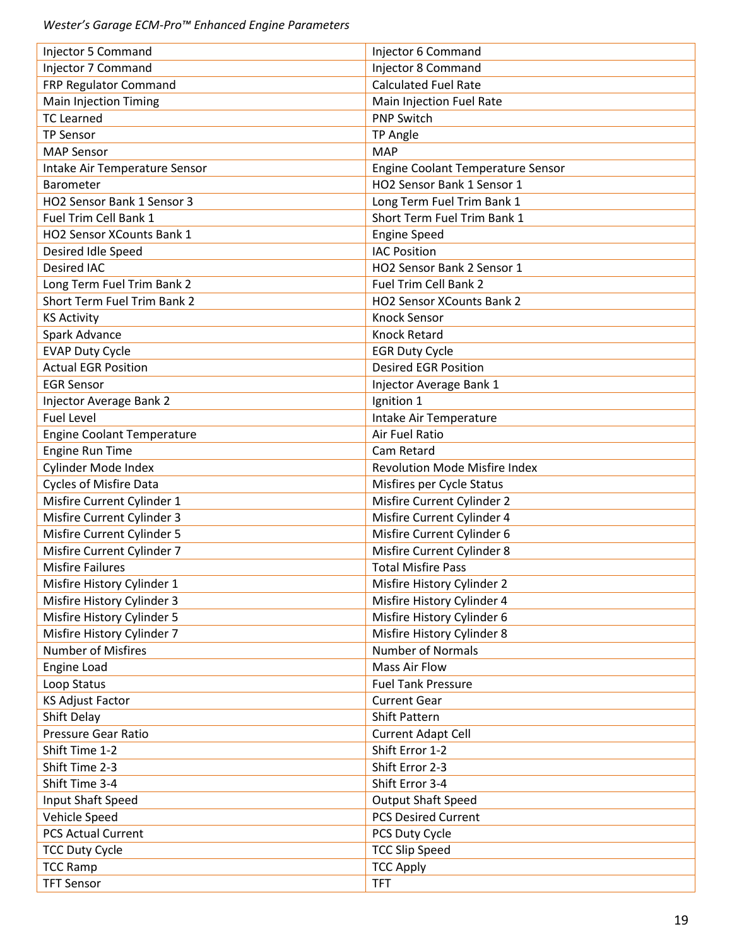| Injector 5 Command                 | Injector 6 Command                   |
|------------------------------------|--------------------------------------|
| Injector 7 Command                 | Injector 8 Command                   |
| FRP Regulator Command              | <b>Calculated Fuel Rate</b>          |
| <b>Main Injection Timing</b>       | Main Injection Fuel Rate             |
| <b>TC Learned</b>                  | <b>PNP Switch</b>                    |
| <b>TP Sensor</b>                   | TP Angle                             |
| <b>MAP Sensor</b>                  | <b>MAP</b>                           |
| Intake Air Temperature Sensor      | Engine Coolant Temperature Sensor    |
| Barometer                          | HO2 Sensor Bank 1 Sensor 1           |
| HO2 Sensor Bank 1 Sensor 3         | Long Term Fuel Trim Bank 1           |
| Fuel Trim Cell Bank 1              | Short Term Fuel Trim Bank 1          |
| HO2 Sensor XCounts Bank 1          | <b>Engine Speed</b>                  |
| Desired Idle Speed                 | <b>IAC Position</b>                  |
| <b>Desired IAC</b>                 | HO2 Sensor Bank 2 Sensor 1           |
| Long Term Fuel Trim Bank 2         | Fuel Trim Cell Bank 2                |
| <b>Short Term Fuel Trim Bank 2</b> | <b>HO2 Sensor XCounts Bank 2</b>     |
| <b>KS Activity</b>                 | <b>Knock Sensor</b>                  |
| Spark Advance                      | <b>Knock Retard</b>                  |
| <b>EVAP Duty Cycle</b>             | <b>EGR Duty Cycle</b>                |
| <b>Actual EGR Position</b>         | <b>Desired EGR Position</b>          |
| <b>EGR Sensor</b>                  | Injector Average Bank 1              |
| Injector Average Bank 2            | Ignition 1                           |
| <b>Fuel Level</b>                  | Intake Air Temperature               |
| <b>Engine Coolant Temperature</b>  | Air Fuel Ratio                       |
| <b>Engine Run Time</b>             | Cam Retard                           |
| Cylinder Mode Index                | <b>Revolution Mode Misfire Index</b> |
| <b>Cycles of Misfire Data</b>      | Misfires per Cycle Status            |
| Misfire Current Cylinder 1         | Misfire Current Cylinder 2           |
| Misfire Current Cylinder 3         | Misfire Current Cylinder 4           |
| Misfire Current Cylinder 5         | Misfire Current Cylinder 6           |
| Misfire Current Cylinder 7         | Misfire Current Cylinder 8           |
| <b>Misfire Failures</b>            | <b>Total Misfire Pass</b>            |
| Misfire History Cylinder 1         | Misfire History Cylinder 2           |
| Misfire History Cylinder 3         | Misfire History Cylinder 4           |
| Misfire History Cylinder 5         | Misfire History Cylinder 6           |
| Misfire History Cylinder 7         | Misfire History Cylinder 8           |
| <b>Number of Misfires</b>          | <b>Number of Normals</b>             |
| Engine Load                        | <b>Mass Air Flow</b>                 |
| Loop Status                        | <b>Fuel Tank Pressure</b>            |
| <b>KS Adjust Factor</b>            | <b>Current Gear</b>                  |
| Shift Delay                        | <b>Shift Pattern</b>                 |
| Pressure Gear Ratio                | <b>Current Adapt Cell</b>            |
| Shift Time 1-2                     | Shift Error 1-2                      |
| Shift Time 2-3                     | Shift Error 2-3                      |
| Shift Time 3-4                     | Shift Error 3-4                      |
| Input Shaft Speed                  | <b>Output Shaft Speed</b>            |
| Vehicle Speed                      | <b>PCS Desired Current</b>           |
| <b>PCS Actual Current</b>          | PCS Duty Cycle                       |
| <b>TCC Duty Cycle</b>              | <b>TCC Slip Speed</b>                |
| <b>TCC Ramp</b>                    | <b>TCC Apply</b>                     |
| <b>TFT Sensor</b>                  | <b>TFT</b>                           |
|                                    |                                      |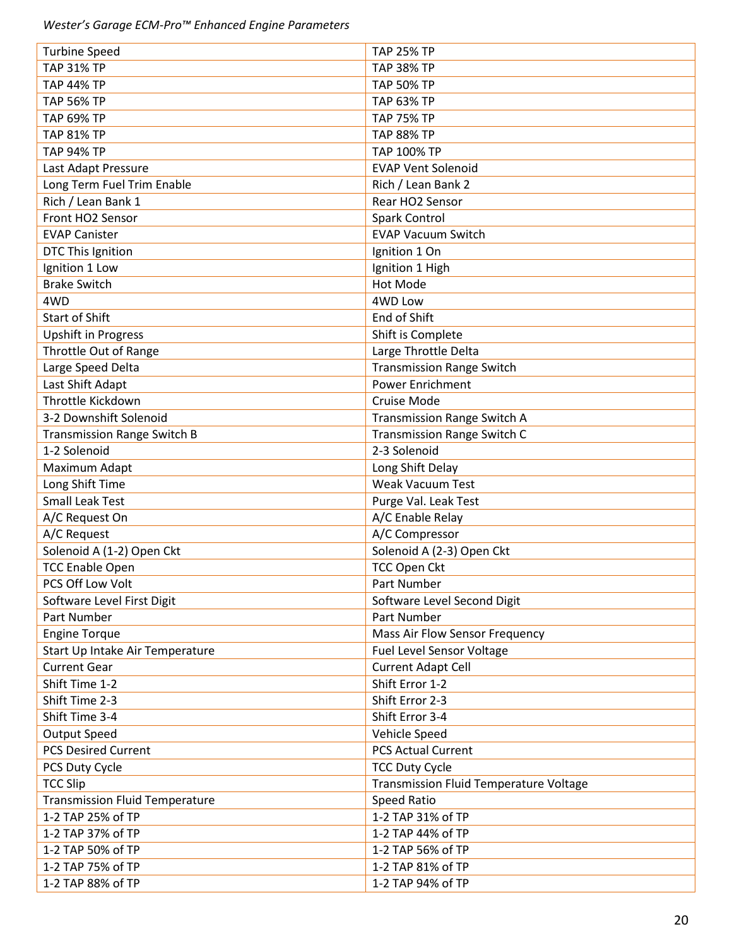| <b>Turbine Speed</b>                  | <b>TAP 25% TP</b>                                           |
|---------------------------------------|-------------------------------------------------------------|
| <b>TAP 31% TP</b>                     | <b>TAP 38% TP</b>                                           |
| <b>TAP 44% TP</b>                     | <b>TAP 50% TP</b>                                           |
| <b>TAP 56% TP</b>                     | <b>TAP 63% TP</b>                                           |
| <b>TAP 69% TP</b>                     | <b>TAP 75% TP</b>                                           |
| <b>TAP 81% TP</b>                     | <b>TAP 88% TP</b>                                           |
| <b>TAP 94% TP</b>                     | TAP 100% TP                                                 |
| Last Adapt Pressure                   | <b>EVAP Vent Solenoid</b>                                   |
| Long Term Fuel Trim Enable            | Rich / Lean Bank 2                                          |
| Rich / Lean Bank 1                    | Rear HO2 Sensor                                             |
| Front HO2 Sensor                      | Spark Control                                               |
| <b>EVAP Canister</b>                  | <b>EVAP Vacuum Switch</b>                                   |
| DTC This Ignition                     | Ignition 1 On                                               |
| Ignition 1 Low                        | Ignition 1 High                                             |
| <b>Brake Switch</b>                   | Hot Mode                                                    |
| 4WD                                   | 4WD Low                                                     |
| <b>Start of Shift</b>                 | End of Shift                                                |
| <b>Upshift in Progress</b>            | Shift is Complete                                           |
| Throttle Out of Range                 | Large Throttle Delta                                        |
|                                       |                                                             |
| Large Speed Delta                     | <b>Transmission Range Switch</b><br><b>Power Enrichment</b> |
| Last Shift Adapt<br>Throttle Kickdown |                                                             |
|                                       | <b>Cruise Mode</b>                                          |
| 3-2 Downshift Solenoid                | Transmission Range Switch A                                 |
| <b>Transmission Range Switch B</b>    | Transmission Range Switch C                                 |
| 1-2 Solenoid                          | 2-3 Solenoid                                                |
| Maximum Adapt                         | Long Shift Delay                                            |
| Long Shift Time                       | <b>Weak Vacuum Test</b>                                     |
| <b>Small Leak Test</b>                | Purge Val. Leak Test                                        |
| A/C Request On                        | A/C Enable Relay                                            |
| A/C Request                           | A/C Compressor                                              |
| Solenoid A (1-2) Open Ckt             | Solenoid A (2-3) Open Ckt                                   |
| <b>TCC Enable Open</b>                | <b>TCC Open Ckt</b>                                         |
| PCS Off Low Volt                      | Part Number                                                 |
| Software Level First Digit            | Software Level Second Digit                                 |
| Part Number                           | Part Number                                                 |
| <b>Engine Torque</b>                  | Mass Air Flow Sensor Frequency                              |
| Start Up Intake Air Temperature       | Fuel Level Sensor Voltage                                   |
| <b>Current Gear</b>                   | <b>Current Adapt Cell</b>                                   |
| Shift Time 1-2                        | Shift Error 1-2                                             |
| Shift Time 2-3                        | Shift Error 2-3                                             |
| Shift Time 3-4                        | Shift Error 3-4                                             |
| <b>Output Speed</b>                   | Vehicle Speed                                               |
| <b>PCS Desired Current</b>            | <b>PCS Actual Current</b>                                   |
| PCS Duty Cycle                        | <b>TCC Duty Cycle</b>                                       |
| <b>TCC Slip</b>                       | Transmission Fluid Temperature Voltage                      |
| <b>Transmission Fluid Temperature</b> | Speed Ratio                                                 |
| 1-2 TAP 25% of TP                     | 1-2 TAP 31% of TP                                           |
| 1-2 TAP 37% of TP                     | 1-2 TAP 44% of TP                                           |
| 1-2 TAP 50% of TP                     | 1-2 TAP 56% of TP                                           |
| 1-2 TAP 75% of TP                     | 1-2 TAP 81% of TP                                           |
| 1-2 TAP 88% of TP                     | 1-2 TAP 94% of TP                                           |